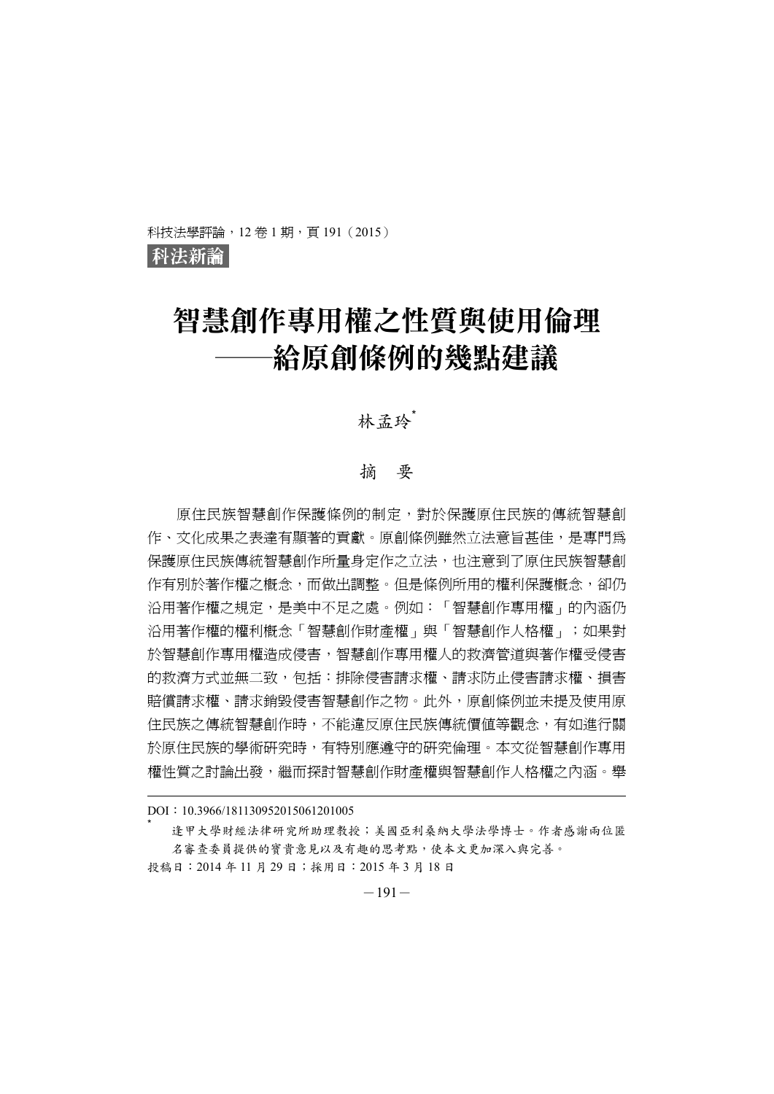科技法學評論, 12卷 1期, 頁 191 (2015)

科法新論

# 智慧創作專用權之性質與使用倫理 ─給原創條例的幾點建議

林孟玲゛

#### 摘 要

原住民族智慧創作保護條例的制定,對於保護原住民族的傳統智慧創 作、文化成果之表達有顯著的貢獻。原創條例雖然立法意旨甚佳,是專門為 保護原住民族傳統智慧創作所量身定作之立法,也注意到了原住民族智慧創 作有別於著作權之概念,而做出調整。但是條例所用的權利保護概念,卻仍 沿用著作權之規定,是美中不足之處。例如:「智慧創作專用權」的內涵仍 沿用著作權的權利概念「智慧創作財產權」與「智慧創作人格權」;如果對 於智慧創作專用權造成侵害,智慧創作專用權人的救濟管道與著作權受侵害 的救濟方式並無二致,包括:排除侵害請求權、請求防止侵害請求權、損害 賠償請求權、請求銷毀侵害智慧創作之物。此外,原創條例並未提及使用原 住民族之傳統智慧創作時,不能違反原住民族傳統價值等觀念,有如進行關 於原住民族的學術研究時,有特別應遵守的研究倫理。本文從智慧創作專用 權性質之討論出發,繼而探討智慧創作財產權與智慧創作人格權之內涵。舉

DOI:10.3966/181130952015061201005

逢甲大學財經法律研究所助理教授;美國亞利桑納大學法學博士。作者感謝兩位匿 名審查委員提供的寶貴意見以及有趣的思考點,使本文更加深入與完善。

投稿日:2014 年 11 月 29 日;採用日:2015 年 3 月 18 日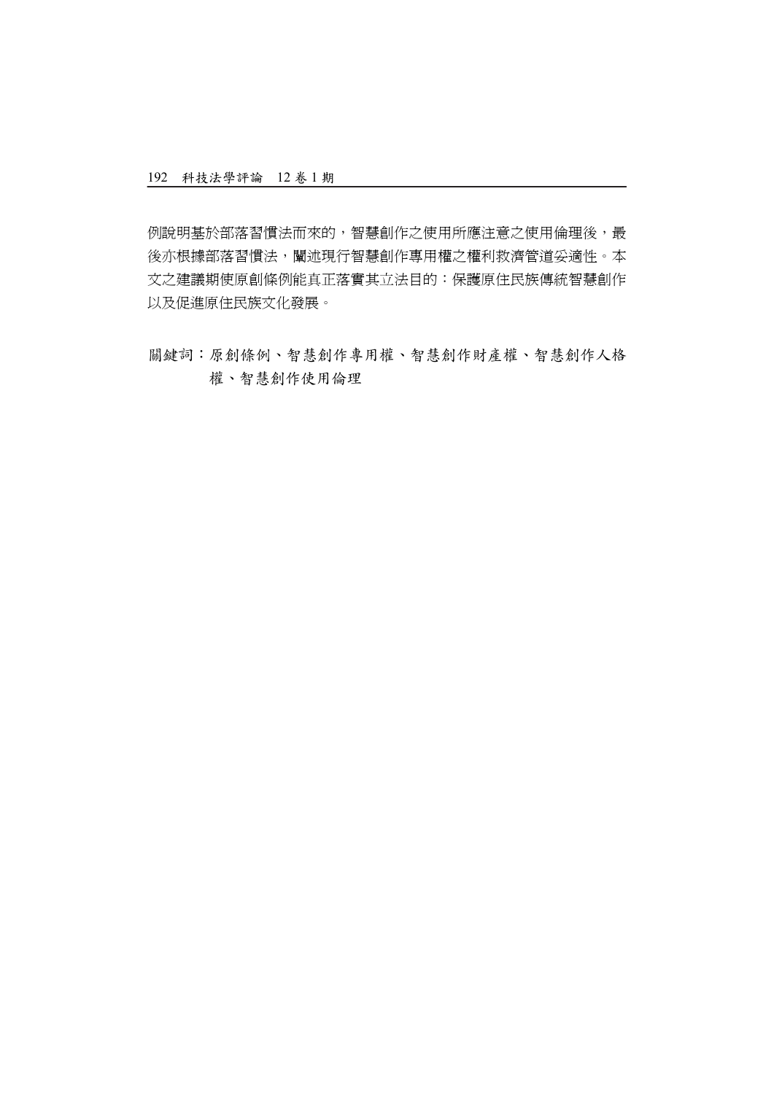例說明基於部落習慣法而來的,智慧創作之使用所應注意之使用倫理後,最 後亦根據部落習慣法,闡述現行智慧創作專用權之權利救濟管道妥適性。本 文之建議期使原創條例能真正落實其立法目的:保護原住民族傳統智慧創作 以及促進原住民族文化發展。

關鍵詞:原創條例、智慧創作專用權、智慧創作財產權、智慧創作人格 權、智慧創作使用倫理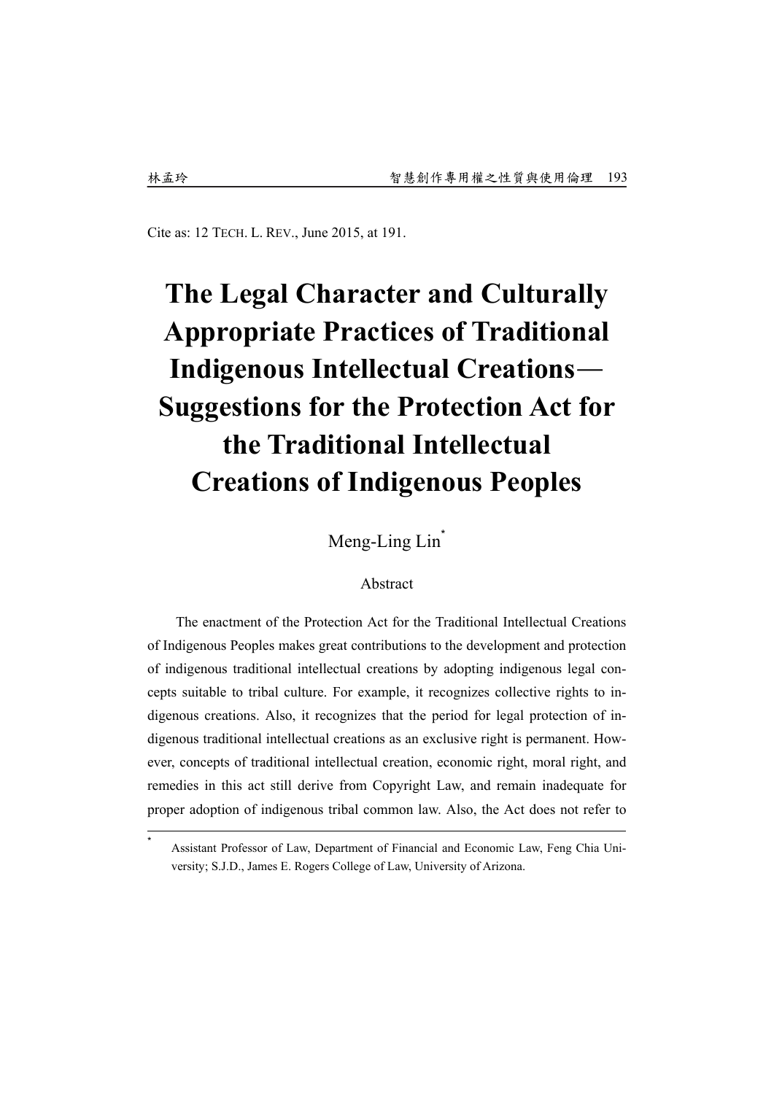Cite as: 12 TECH. L. REV., June 2015, at 191.

# **The Legal Character and Culturally Appropriate Practices of Traditional Indigenous Intellectual Creations**— **Suggestions for the Protection Act for the Traditional Intellectual Creations of Indigenous Peoples**

Meng-Ling Lin<sup>\*</sup>

#### Abstract

The enactment of the Protection Act for the Traditional Intellectual Creations of Indigenous Peoples makes great contributions to the development and protection of indigenous traditional intellectual creations by adopting indigenous legal concepts suitable to tribal culture. For example, it recognizes collective rights to indigenous creations. Also, it recognizes that the period for legal protection of indigenous traditional intellectual creations as an exclusive right is permanent. However, concepts of traditional intellectual creation, economic right, moral right, and remedies in this act still derive from Copyright Law, and remain inadequate for proper adoption of indigenous tribal common law. Also, the Act does not refer to

Assistant Professor of Law, Department of Financial and Economic Law, Feng Chia University; S.J.D., James E. Rogers College of Law, University of Arizona.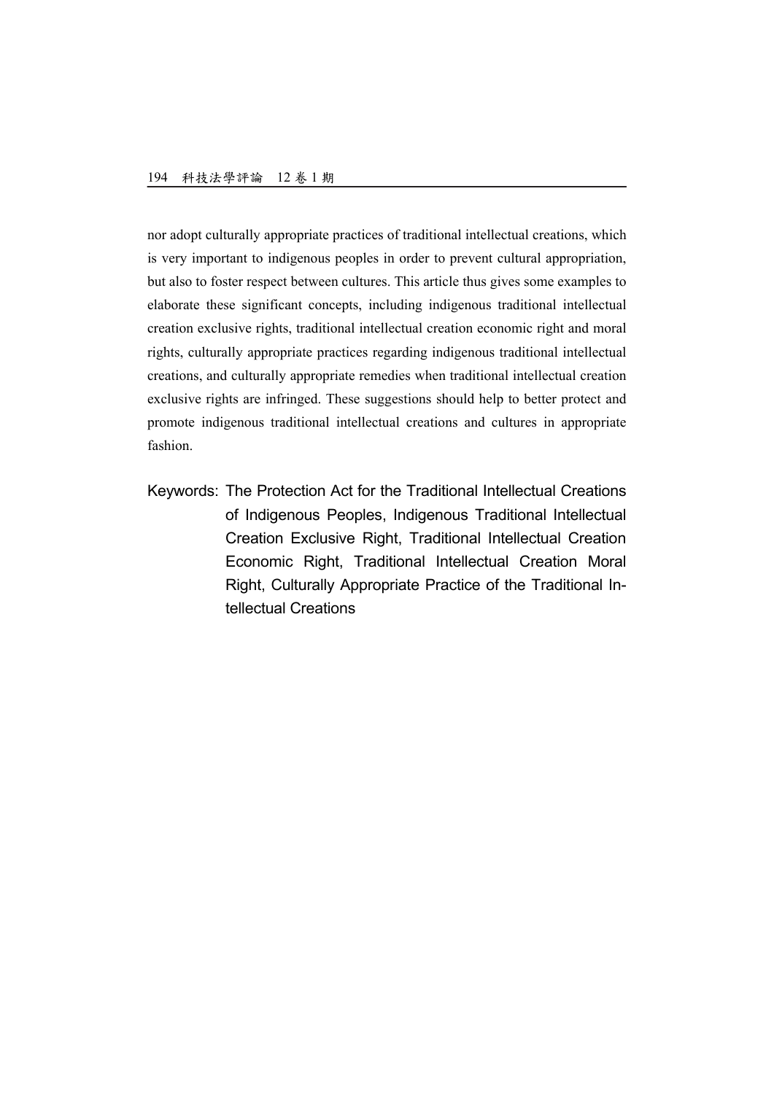nor adopt culturally appropriate practices of traditional intellectual creations, which is very important to indigenous peoples in order to prevent cultural appropriation, but also to foster respect between cultures. This article thus gives some examples to elaborate these significant concepts, including indigenous traditional intellectual creation exclusive rights, traditional intellectual creation economic right and moral rights, culturally appropriate practices regarding indigenous traditional intellectual creations, and culturally appropriate remedies when traditional intellectual creation exclusive rights are infringed. These suggestions should help to better protect and promote indigenous traditional intellectual creations and cultures in appropriate fashion.

Keywords: The Protection Act for the Traditional Intellectual Creations of Indigenous Peoples, Indigenous Traditional Intellectual Creation Exclusive Right, Traditional Intellectual Creation Economic Right, Traditional Intellectual Creation Moral Right, Culturally Appropriate Practice of the Traditional Intellectual Creations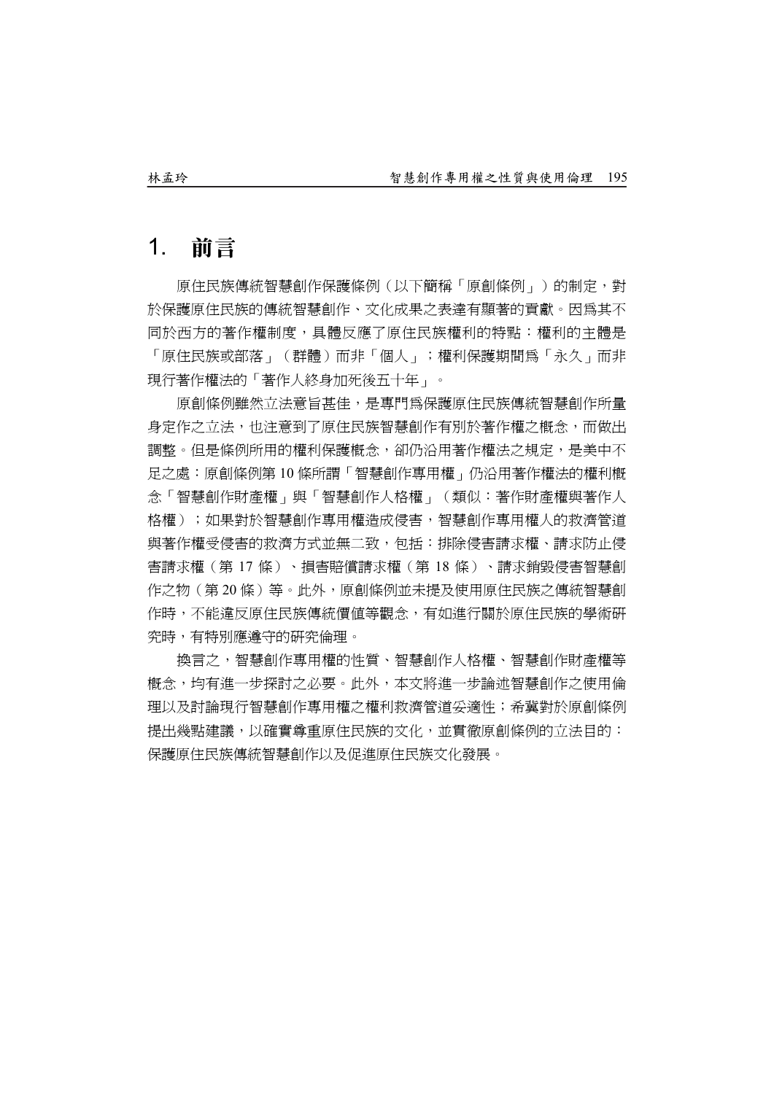# 1. 前言

原住民族傳統智慧創作保護條例(以下簡稱「原創條例」)的制定,對 於保護原住民族的傳統智慧創作、文化成果之表達有顯著的貢獻。因為其不 同於西方的著作權制度,具體反應了原住民族權利的特點:權利的主體是 「原住民族或部落」(群體)而非「個人」;權利保護期間為「永久」而非 現行著作權法的「著作人終身加死後五十年」。

原創條例雖然立法意旨甚佳,是專門為保護原住民族傳統智慧創作所量 身定作之立法,也注意到了原住民族智慧創作有別於著作權之概念,而做出 調整。但是條例所用的權利保護概念,卻仍沿用著作權法之規定,是美中不 足之處:原創條例第 10 條所謂「智慧創作專用權」仍沿用著作權法的權利概 念「智慧創作財產權」與「智慧創作人格權」(類似:著作財產權與著作人 格權);如果對於智慧創作專用權造成侵害,智慧創作專用權人的救濟管道 與著作權受侵害的救濟方式並無二致,包括:排除侵害請求權、請求防止侵 害請求權(第 17 條)、損害賠償請求權(第 18 條)、請求銷毀侵害智慧創 作之物(第 20 條)等。此外,原創條例並未提及使用原住民族之傳統智慧創 作時,不能違反原住民族傳統價值等觀念,有如進行關於原住民族的學術研 究時,有特別應遵守的研究倫理。

換言之,智慧創作專用權的性質、智慧創作人格權、智慧創作財產權等 概念,均有進一步探討之必要。此外,本文將進一步論述智慧創作之使用倫 理以及討論現行智慧創作專用權之權利救濟管道妥適性;希冀對於原創條例 提出幾點建議,以確實尊重原住民族的文化,並貫徹原創條例的立法目的: 保護原住民族傳統智慧創作以及促進原住民族文化發展。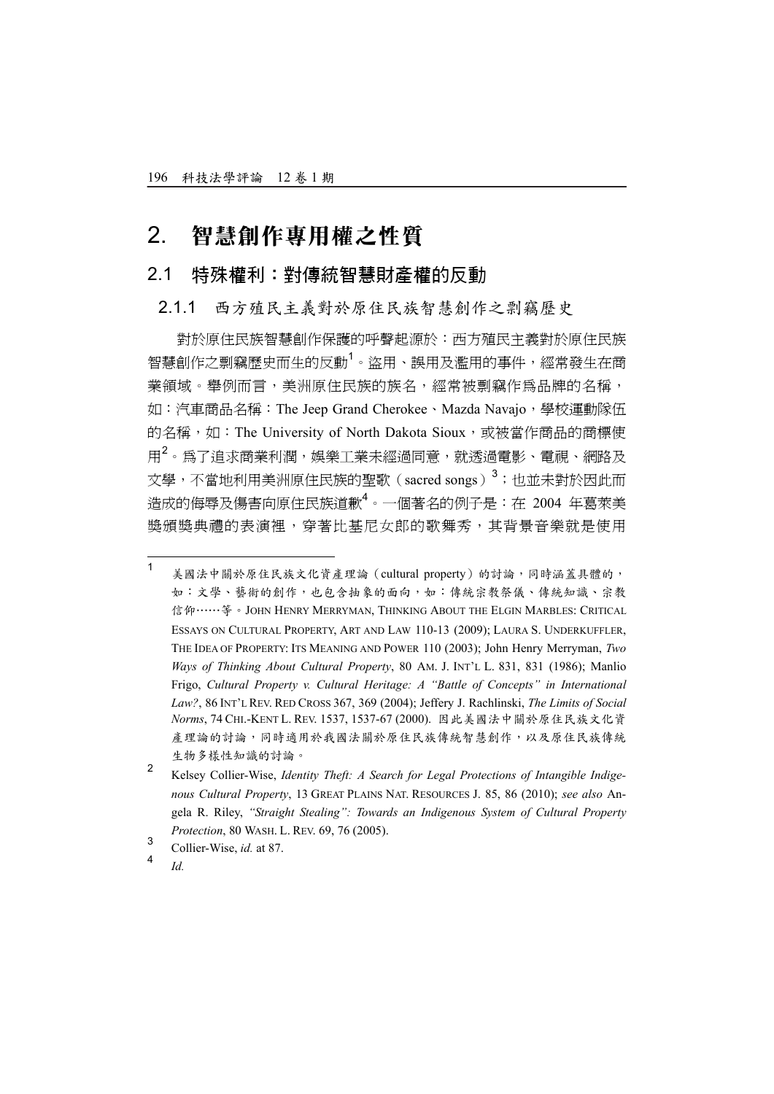## 2. 智慧創作專用權之性質

#### 2.1 特殊權利:對傳統智慧財產權的反動

#### 2.1.1 西方殖民主義對於原住民族智慧創作之剽竊歷史

對於原住民族智慧創作保護的呼聲起源於:西方殖民主義對於原住民族 智慧創作之剽竊歷史而生的反動<sup>1</sup>。盜用、誤用及濫用的事件,經常發生在商 業領域。舉例而言,美洲原住民族的族名,經常被剽竊作為品牌的名稱, 如:汽車商品名稱:The Jeep Grand Cherokee、Mazda Navajo,學校運動隊伍 的名稱,如: The University of North Dakota Sioux,或被當作商品的商標使 用<sup>2</sup>。為了追求商業利潤,娛樂工業未經過同意,就透過電影、電視、網路及 文學,不當地利用美洲原住民族的聖歌(sacred songs)<sup>3</sup>;也並未對於因此而 造成的侮辱及傷害向原住民族道歉<sup>4</sup>。一個著名的例子是:在 2004 年葛萊美 獎頒獎典禮的表演裡,穿著比基尼女郎的歌舞秀,其背景音樂就是使用

 $\frac{1}{1}$  美國法中關於原住民族文化資產理論(cultural property)的討論,同時涵蓋具體的, 如:文學、藝術的創作,也包含抽象的面向,如:傳統宗教祭儀、傳統知識、宗教 信仰……等。JOHN HENRY MERRYMAN, THINKING ABOUT THE ELGIN MARBLES: CRITICAL ESSAYS ON CULTURAL PROPERTY, ART AND LAW 110-13 (2009); LAURA S. UNDERKUFFLER, THE IDEA OF PROPERTY: ITS MEANING AND POWER 110 (2003); John Henry Merryman, *Two Ways of Thinking About Cultural Property*, 80 AM. J. INT'L L. 831, 831 (1986); Manlio Frigo, *Cultural Property v. Cultural Heritage: A "Battle of Concepts" in International Law?*, 86 INT'L REV. RED CROSS 367, 369 (2004); Jeffery J. Rachlinski, *The Limits of Social Norms*, 74 CHI.-KENT L. REV. 1537, 1537-67 (2000). 因此美國法中關於原住民族文化資 產理論的討論,同時適用於我國法關於原住民族傳統智慧創作,以及原住民族傳統 生物多樣性知識的討論。

<sup>2</sup> Kelsey Collier-Wise, *Identity Theft: A Search for Legal Protections of Intangible Indigenous Cultural Property*, 13 GREAT PLAINS NAT. RESOURCES J. 85, 86 (2010); *see also* Angela R. Riley, *"Straight Stealing": Towards an Indigenous System of Cultural Property Protection*, 80 WASH. L. REV. 69, 76 (2005).

<sup>3</sup> Collier-Wise, *id.* at 87.

<sup>4</sup> *Id.*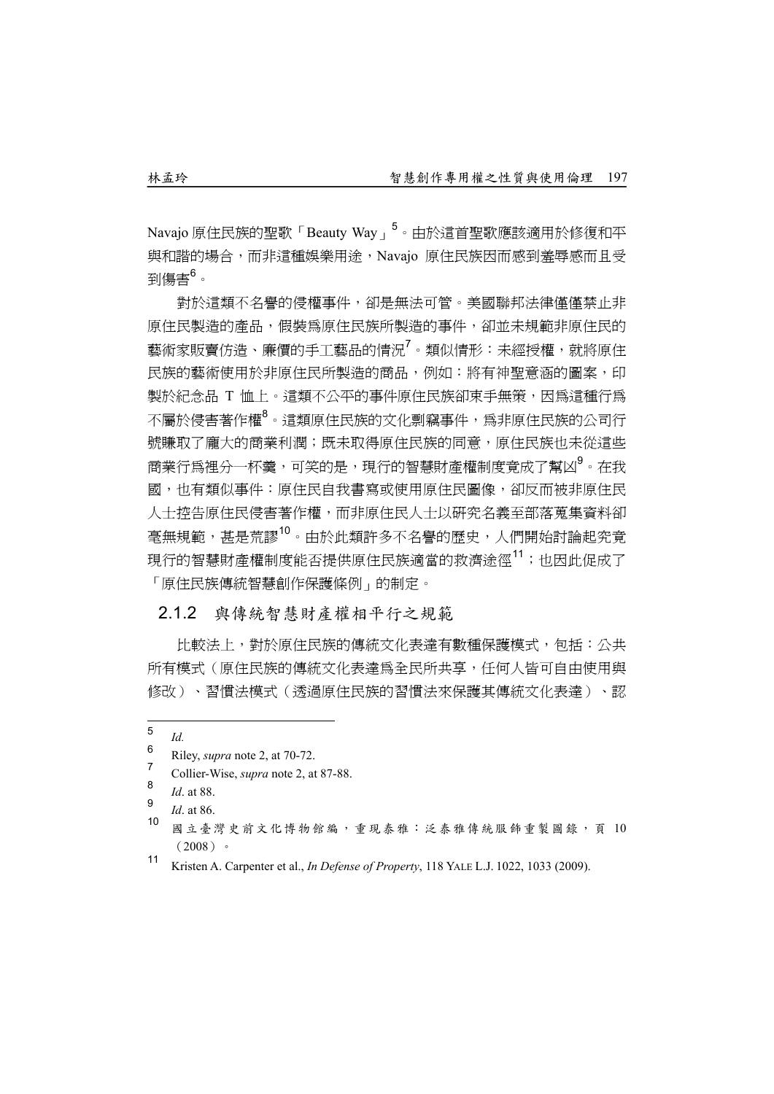Navajo 原住民族的聖歌「Beauty Way」<sup>5</sup>。由於這首聖歌應該適用於修復和平 與和諧的場合,而非這種娛樂用途,Navajo 原住民族因而感到羞辱感而且受 到傷害<sup>6</sup>。

對於這類不名譽的侵權事件,卻是無法可管。美國聯邦法律僅僅禁止非 原住民製造的產品,假裝為原住民族所製造的事件,卻並未規範非原住民的 藝術家販賣仿造、廉價的手工藝品的情況<sup>7</sup>。類似情形:未經授權,就將原住 民族的藝術使用於非原住民所製造的商品,例如:將有神聖意涵的圖案,印 製於紀念品 T 恤上。這類不公平的事件原住民族卻束手無策,因為這種行為 不屬於侵害著作權<sup>8</sup>。這類原住民族的文化剽竊事件,爲非原住民族的公司行 號賺取了龐大的商業利潤;既未取得原住民族的同意,原住民族也未從這些 商業行爲裡分一杯羹,可笑的是,現行的智慧財產權制度竟成了幫凶<sup>9</sup>。在我 國,也有類似事件:原住民自我書寫或使用原住民圖像,卻反而被非原住民 人士控告原住民侵害著作權,而非原住民人士以研究名義至部落蒐集資料卻 毫無規範,甚是荒謬10。由於此類許多不名譽的歷史,人們開始討論起究竟 現行的智慧財產權制度能否提供原住民族適當的救濟途徑<sup>11</sup>;也因此促成了 「原住民族傳統智慧創作保護條例」的制定。

#### 2.1.2 與傳統智慧財產權相平行之規範

比較法上,對於原住民族的傳統文化表達有數種保護模式,包括:公共 所有模式(原住民族的傳統文化表達為全民所共享,任何人皆可自由使用與 修改)、習慣法模式(透過原住民族的習慣法來保護其傳統文化表達)、認

 5 *Id.*

<sup>6</sup> Riley, *supra* note 2, at 70-72.

<sup>7</sup> Collier-Wise, *supra* note 2, at 87-88.

<sup>8</sup> *Id*. at 88.

<sup>9</sup>  $\frac{9}{10}$  *Id.* at 86.

國立臺灣史前文化博物館編,重現泰雅:泛泰雅傳統服飾重製圖錄,頁 10  $(2008)$ 

<sup>11</sup> Kristen A. Carpenter et al., *In Defense of Property*, 118 YALE L.J. 1022, 1033 (2009).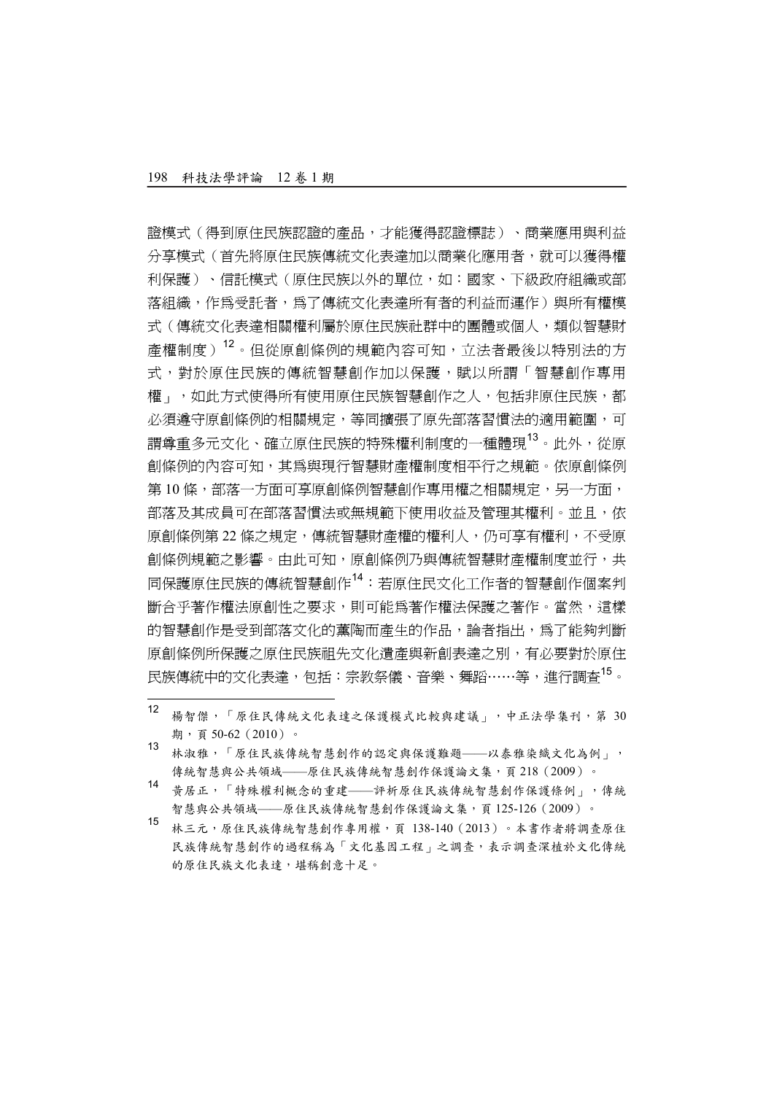$\overline{a}$ 

證模式(得到原住民族認證的產品,才能獲得認證標誌)、商業應用與利益 分享模式(首先將原住民族傳統文化表達加以商業化應用者,就可以獲得權 利保護)、信託模式(原住民族以外的單位,如:國家、下級政府組織或部 落組織,作為受託者,為了傳統文化表達所有者的利益而運作)與所有權模 式(傳統文化表達相關權利屬於原住民族社群中的團體或個人,類似智慧財 產權制度)12。但從原創條例的規範內容可知,立法者最後以特別法的方 式,對於原住民族的傳統智慧創作加以保護,賦以所謂「智慧創作專用 權」,如此方式使得所有使用原住民族智慧創作之人,包括非原住民族,都 **必須遵守原創條例的相關規定,等同擴張了原先部落習慣法的適用範圍,可** 謂尊重多元文化、確立原住民族的特殊權利制度的一種體現13。此外,從原 創條例的內容可知,其為與現行智慧財產權制度相平行之規範。依原創條例 第10條,部落一方面可享原創條例智慧創作專用權之相關規定,另一方面, 部落及其成員可在部落習慣法或無規範下使用收益及管理其權利。並且,依 原創條例第 22 條之規定,傳統智慧財產權的權利人,仍可享有權利,不受原 創條例規範之影響。由此可知,原創條例乃與傳統智慧財產權制度並行,共 同保護原住民族的傳統智慧創作14:若原住民文化工作者的智慧創作個案判 斷合乎著作權法原創性之要求,則可能為著作權法保護之著作。當然,這樣 的智慧創作是受到部落文化的薰陶而產生的作品,論者指出,為了能夠判斷 原創條例所保護之原住民族祖先文化潰產與新創表達之別,有必要對於原住 民族傳統中的文化表達,包括:宗教祭儀、音樂、舞蹈……等,淮行調杳<sup>15</sup>。

- <sup>13</sup> 林淑雅,「原住民族傳統智慧創作的認定與保護難題——以泰雅染織文化為例」, 傳統智慧與公共領域——原住民族傳統智慧創作保護論文集,頁218(2009)。
- <sup>14</sup> 黃居正,「特殊權利概念的重建——評析原住民族傳統智慧創作保護條例」,傳統 智慧與公共領域——原住民族傳統智慧創作保護論文集,頁 125-126(2009)。
- <sup>15</sup> 林三元,原住民族傳統智慧創作專用權,頁 138-140(2013)。本書作者將調查原住 民族傳統智慧創作的過程稱為「文化基因工程」之調查,表示調查深植於文化傳統 的原住民族文化表達,堪稱創意十足。

<sup>12</sup> 楊智傑,「原住民傳統文化表達之保護模式比較與建議」,中正法學集刊,第 <sup>30</sup> 期,頁 50-62(2010)。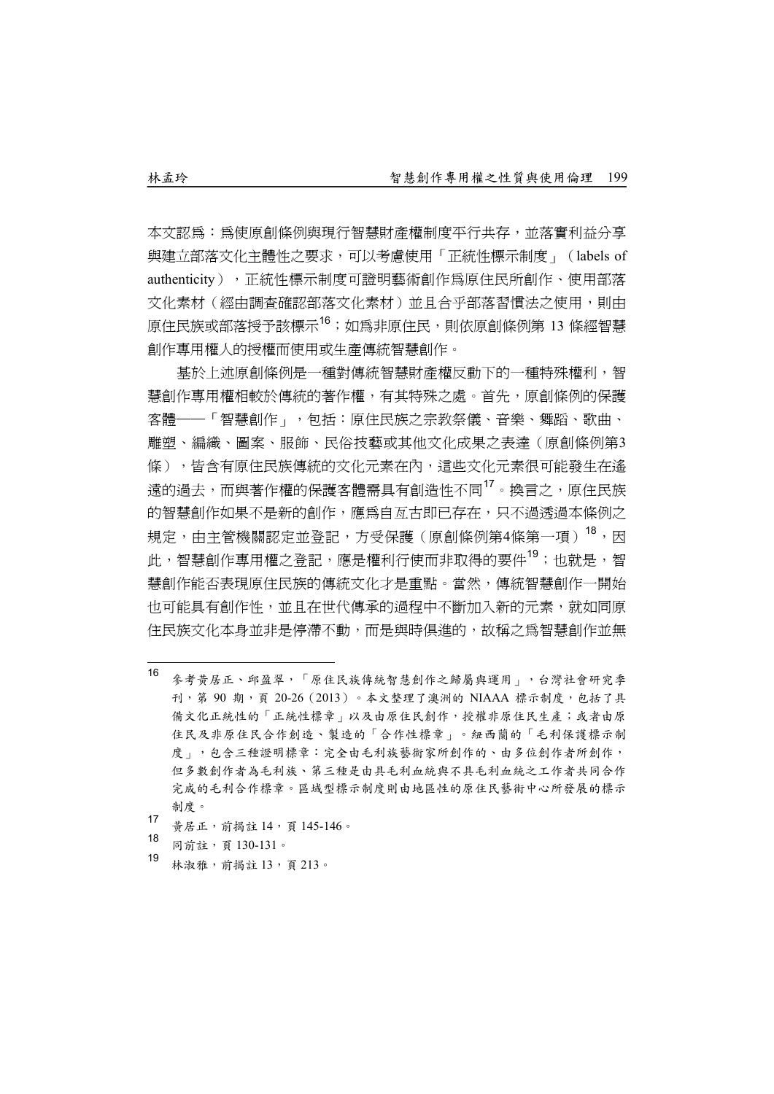本文認為:為使原創條例與現行智慧財產權制度平行共存,並落實利益分享 與建立部落文化主體性之要求,可以考慮使用「正統性標示制度」(labels of authenticity),正統性標示制度可證明藝術創作為原住民所創作、使用部落 文化素材(經由調查確認部落文化素材)並且合乎部落習慣法之使用,則由 原住民族或部落授予該標示<sup>16</sup>;如為非原住民,則依原創條例第 13 條經智慧 創作專用權人的授權而使用或生產傳統智慧創作。

基於上述原創條例是一種對傳統智慧財產權反動下的一種特殊權利,智 慧創作專用權相較於傳統的著作權,有其特殊之處。首先,原創條例的保護 客體──「智慧創作」,包括:原住民族之宗教祭儀、音樂、舞蹈、歌曲、 雕塑、編織、圖案、服飾、民俗技藝或其他文化成果之表達(原創條例第3 條),皆含有原住民族傳統的文化元素在內,這些文化元素很可能發生在遙 遠的過去,而與著作權的保護客體需具有創浩性不同<sup>17</sup>。換言之,原住民族 的智慧創作如果不是新的創作,應為自亙古即已存在,只不過透過本條例之 規定,由主管機關認定並登記,方受保護(原創條例第4條第一項)<sup>18</sup>,因 此,智慧創作專用權之登記,應是權利行使而非取得的要件<sup>19</sup>;也就是,智 慧創作能否表現原住民族的傳統文化才是重點。當然,傳統智慧創作一開始 也可能具有創作性,並且在世代傳承的過程中不斷加入新的元素,就如同原 住民族文化本身並非是停滯不動,而是與時俱進的,故稱之為智慧創作並無

- $16$ <sup>16</sup> 參考黃居正、邱盈翠,「原住民族傳統智慧創作之歸屬與運用」,台灣社會研究季 刊,第 90 期,頁 20-26 (2013)。本文整理了澳洲的 NIAAA 標示制度,包括了具 備文化正統性的「正統性標章」以及由原住民創作,授權非原住民生產;或者由原 住民及非原住民合作創造、製造的「合作性標章」。紐西蘭的「毛利保護標示制 度」,包含三種證明標章:完全由毛利族藝術家所創作的、由多位創作者所創作, 但多數創作者為毛利族、第三種是由具毛利血統與不具毛利血統之工作者共同合作 完成的毛利合作標章。區域型標示制度則由地區性的原住民藝術中心所發展的標示 制度。
- <sup>17</sup> 黃居正,前揭註 <sup>14</sup>,頁 145-146。
- 18 同前註,頁 130-131。
- 19 林淑雅,前揭註 13,百 213。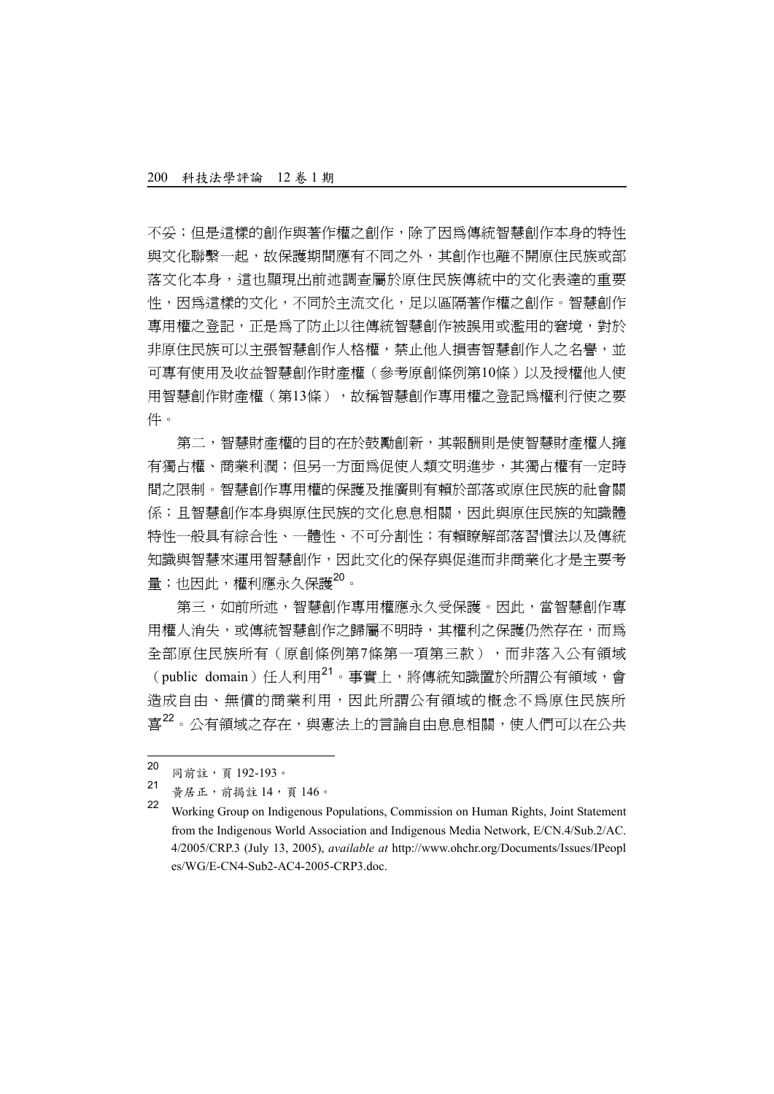不妥;但是這樣的創作與著作權之創作,除了因為傳統智慧創作本身的特性 與文化聯繫一起,故保護期間應有不同之外,其創作也離不開原住民族或部 落文化本身,這也顯現出前述調查屬於原住民族傳統中的文化表達的重要 性,因為這樣的文化,不同於主流文化,足以區隔著作權之創作。智慧創作 專用權之登記,正是為了防止以往傳統智慧創作被誤用或濫用的窘境,對於 非原住民族可以主張智慧創作人格權,禁止他人損害智慧創作人之名譽,並 可專有使用及收益智慧創作財產權(參考原創條例第10條)以及授權他人使 用智慧創作財產權(第13條),故稱智慧創作專用權之登記為權利行使之要 件。

第二,智慧財產權的目的在於鼓勵創新,其報酬則是使智慧財產權人擁 有獨占權、商業利潤;但另一方面為促使人類文明淮步,其獨占權有一定時 間之限制。智慧創作專用權的保護及推廣則有賴於部落或原住民族的社會關 係;且智慧創作本身與原住民族的文化息息相關,因此與原住民族的知識體 特性一般具有綜合性、一體性、不可分割性;有賴瞭解部落習慣法以及傳統 知識與智慧來運用智慧創作,因此文化的保存與促進而非商業化才是主要考 量;也因此,權利應永久保護<sup>20</sup>。

第三,如前所述,智慧創作專用權應永久受保護。因此,當智慧創作專 用權人消失,或傳統智慧創作之歸屬不明時,其權利之保護仍然存在,而爲 全部原住民族所有(原創條例第7條第一項第三款),而非落入公有領域  $\mathcal{L}(\text{public domain})$  任人利用 $^{21} \cdot \text{H}(\mathbb{R}^2)$ ,將傳統知識置於所謂公有領域,會 造成自由、無償的商業利用,因此所謂公有領域的概念不為原住民族所 喜<sup>22</sup>。公有領域之存在,與憲法上的言論自由息息相關,使人們可以在公共

 $20$ 20 同前註,頁 192-193。

<sup>21</sup> 黃居正,前揭註 <sup>14</sup>,頁 <sup>146</sup>。

<sup>22</sup> Working Group on Indigenous Populations, Commission on Human Rights, Joint Statement from the Indigenous World Association and Indigenous Media Network, E/CN.4/Sub.2/AC. 4/2005/CRP.3 (July 13, 2005), *available at* http://www.ohchr.org/Documents/Issues/IPeopl es/WG/E-CN4-Sub2-AC4-2005-CRP3.doc.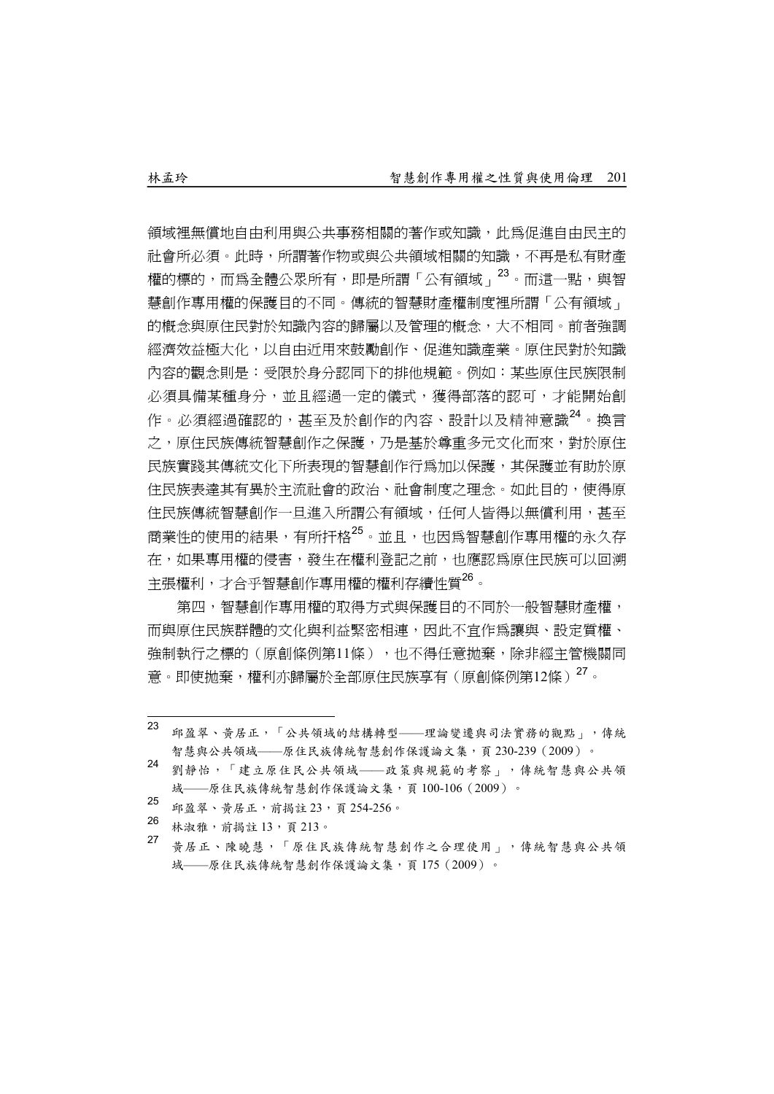領域裡無償地自由利用與公共事務相關的著作或知識,此為促進自由民主的 社會所必須。此時,所謂著作物或與公共領域相關的知識,不再是私有財產 權的標的,而為全體公眾所有,即是所謂「公有領域」23。而這一點,與智 慧創作專用權的保護目的不同。傳統的智慧財產權制度裡所謂「公有領域」 的概念與原住民對於知識內容的歸屬以及管理的概念,大不相同。前者強調 經濟效益極大化,以自由近用來鼓勵創作、促進知識產業。原住民對於知識 內容的觀念則是:受限於身分認同下的排他規範。例如:某些原住民族限制 必須具備某種身分,並且經過一定的儀式,獲得部落的認可,才能開始創 作。必須經過確認的,甚至及於創作的內容、設計以及精神意識<sup>24</sup>。換言 之,原住民族傳統智慧創作之保護,乃是基於尊重多元文化而來,對於原住 民族實踐其傳統文化下所表現的智慧創作行為加以保護,其保護並有助於原 住民族表達其有異於主流社會的政治、社會制度之理念。如此目的,使得原 住民族傳統智慧創作一日進入所謂公有領域,任何人皆得以無償利用,甚至 商業性的使用的結果,有所扞格25。並且,也因為智慧創作專用權的永久存 在,如果專用權的侵害,發生在權利登記之前,也應認為原住民族可以回溯 主張權利,才合乎智慧創作專用權的權利存續性質26。

第四,智慧創作專用權的取得方式與保護目的不同於一般智慧財產權, 而與原住民族群體的文化與利益緊密相連,因此不宜作為讓與、設定質權、 強制執行之標的(原創條例第11條),也不得任意拋棄,除非經主管機關同 意。即使拋棄,權利亦歸屬於全部原住民族享有(原創條例第12條)<sup>27</sup>。

- 23 邱盈翠、黃居正,「公共領域的結構轉型——理論變遷與司法實務的觀點」,傳統 智慧與公共領域——原住民族傳統智慧創作保護論文集,頁 230-239(2009)。
- <sup>24</sup> 劉靜怡,「建立原住民公共領域——政策與規範的考察」,傳統智慧與公共領 <sup>域</sup>—原住民族傳統智慧創作保護論文集,頁 100-106(2009)。
- <sup>25</sup> 邱盈翠、黃居正,前揭註 <sup>23</sup>,頁 254-256。
- 26 林淑雅,前揭註 13,頁 213。
- <sup>27</sup> 黃居正、陳曉慧,「原住民族傳統智慧創作之合理使用」,傳統智慧與公共領 <sup>域</sup>—原住民族傳統智慧創作保護論文集,頁 <sup>175</sup>(2009)。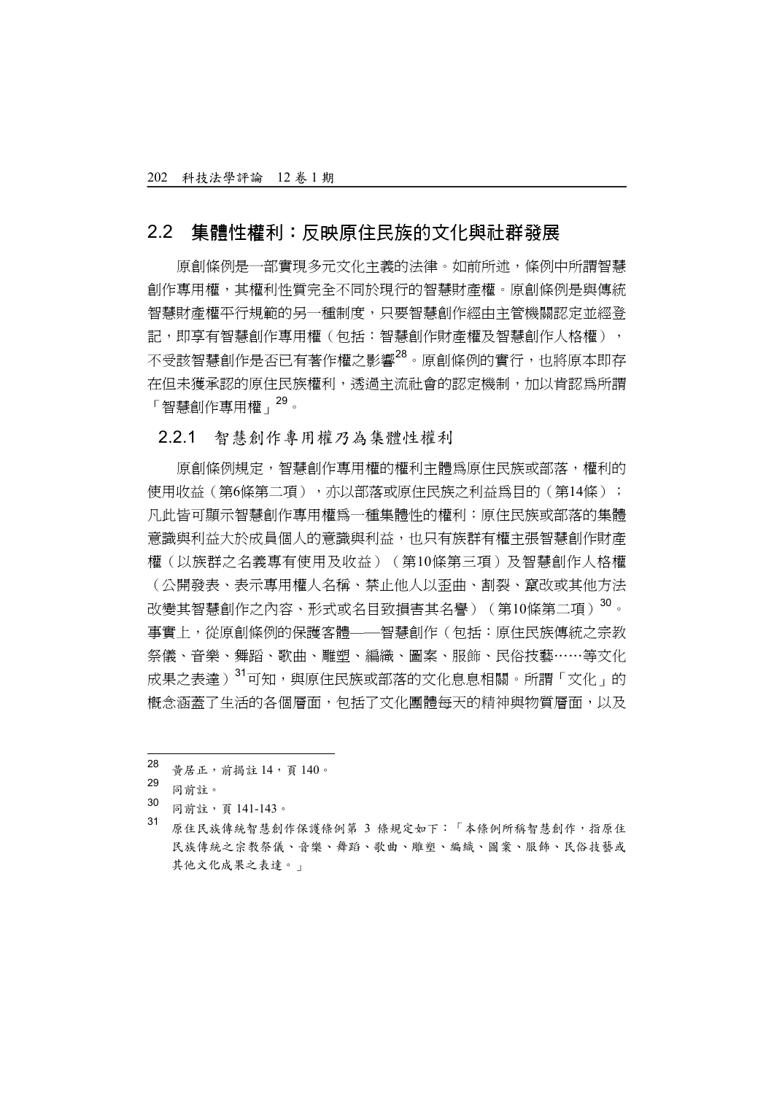### 2.2 集體性權利:反映原住民族的文化與社群發展

原創條例是一部實現多元文化主義的法律。如前所述,條例中所謂智慧 創作專用權,其權利性質完全不同於現行的智慧財產權。原創條例是與傳統 智慧財產權平行規範的另一種制度,只要智慧創作經由主管機關認定並經登 記,即享有智慧創作專用權(句括:智慧創作財產權及智慧創作人格權), 不受該智慧創作是否已有著作權之影響<sup>28</sup>。原創條例的實行,也將原本即存 在但未獲承認的原住民族權利,透過主流社會的認定機制,加以肯認為所謂 「智慧創作專用權」<sup>29</sup>。

#### 2.2.1 智慧創作專用權乃為集體性權利

原創條例規定,智慧創作專用權的權利主體為原住民族或部落,權利的 使用收益(第6條第二項),亦以部落或原住民族之利益為目的(第14條); 凡此皆可顯示智慧創作專用權為一種集體性的權利:原住民族或部落的集體 意識與利益大於成員個人的意識與利益,也只有族群有權主張智慧創作財產 權(以族群之名義專有使用及收益)(第10條第三項)及智慧創作人格權 (公開發表、表示專用權人名稱、禁止他人以歪曲、割裂、竄改或其他方法 改變其智慧創作之內容、形式或名目致損害其名譽)(第10條第二項)<sup>30</sup>。 事實上,從原創條例的保護客體——智慧創作(包括:原住民族傳統之宗教 祭儀、音樂、舞蹈、歌曲、雕塑、編織、圖案、服飾、民俗技藝……等文化 成果之表達)<sup>31</sup>可知,與原住民族或部落的文化息息相關。所謂「文化」的 概念涵蓋了生活的各個層面,包括了文化團體每天的精神與物質層面,以及

- 同前註,頁 141-143。
- <sup>31</sup> 原住民族傳統智慧創作保護條例第 <sup>3</sup> 條規定如下:「本條例所稱智慧創作,指原住 民族傳統之宗教祭儀、音樂、舞蹈、歌曲、雕塑、編織、圖案、服飾、民俗技藝或 其他文化成果之表達。」

<sup>28</sup> 黃居正, 前揭註 14, 頁 140。

<sup>29&</sup>lt;br>30 同前註。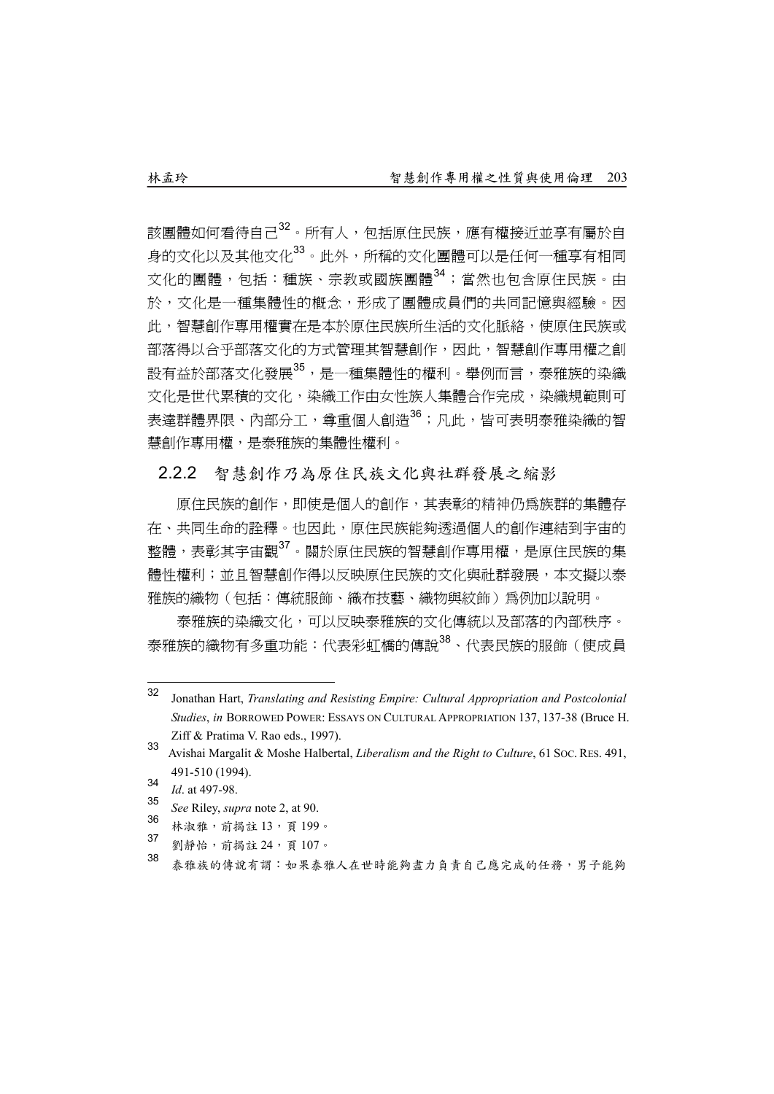該團體如何看待自己<sup>32</sup>。所有人,包括原住民族,應有權接近並享有屬於自 身的文化以及其他文化33。此外,所稱的文化團體可以是任何一種享有相同 文化的團體, 包括: 種族、宗教或國族團體<sup>34</sup>; 當然也包含原住民族。由 於,文化是一種集體性的概念,形成了團體成員們的共同記憶與經驗。因 此,智慧創作專用權實在是本於原住民族所生活的文化脈絡,使原住民族或 部落得以合乎部落文化的方式管理其智慧創作,因此,智慧創作專用權之創 設有益於部落文化發展<sup>35,</sup>是一種集體性的權利。舉例而言,泰雅族的染織 文化是世代累積的文化,染織工作由女性族人集體合作完成,染織規範則可 表達群體界限、內部分工,尊重個人創浩<sup>36</sup>;凡此,皆可表明泰雅染織的智 慧創作專用權,是泰雅族的集體性權利。

#### 2.2.2 智慧創作乃為原住民族文化與社群發展之縮影

原住民族的創作,即使是個人的創作,其表彰的精神仍爲族群的集體存 在、共同生命的詮釋。也因此,原住民族能夠透過個人的創作連結到宇宙的 整體,表彰其宇宙觀37。關於原住民族的智慧創作專用權,是原住民族的集 體性權利;並且智慧創作得以反映原住民族的文化與社群發展,本文擬以泰 雅族的織物(包括:傳統服飾、織布技藝、織物與紋飾)爲例加以說明。

泰雅族的染織文化,可以反映泰雅族的文化傳統以及部落的內部秩序。 泰雅族的織物有多重功能:代表彩虹橋的傳說38、代表民族的服飾(使成員

- 30 林淑雅,前揭註 13,頁 199。<br>37 **GMAM** 第18,24 五197
- 劉靜怡,前揭註 24,頁 107。
- 38 泰雅族的傳說有謂:如果泰雅人在世時能夠盡力負責自己應完成的任務,男子能夠

 $32$ <sup>32</sup> Jonathan Hart, *Translating and Resisting Empire: Cultural Appropriation and Postcolonial Studies*, *in* BORROWED POWER: ESSAYS ON CULTURAL APPROPRIATION 137, 137-38 (Bruce H. Ziff & Pratima V. Rao eds., 1997).

<sup>33</sup> Avishai Margalit & Moshe Halbertal, *Liberalism and the Right to Culture*, 61 SOC. RES. 491, 491-510 (1994).

<sup>34</sup> *Id*. at 497-98.

<sup>35</sup> *See* Riley, *supra* note 2, at 90.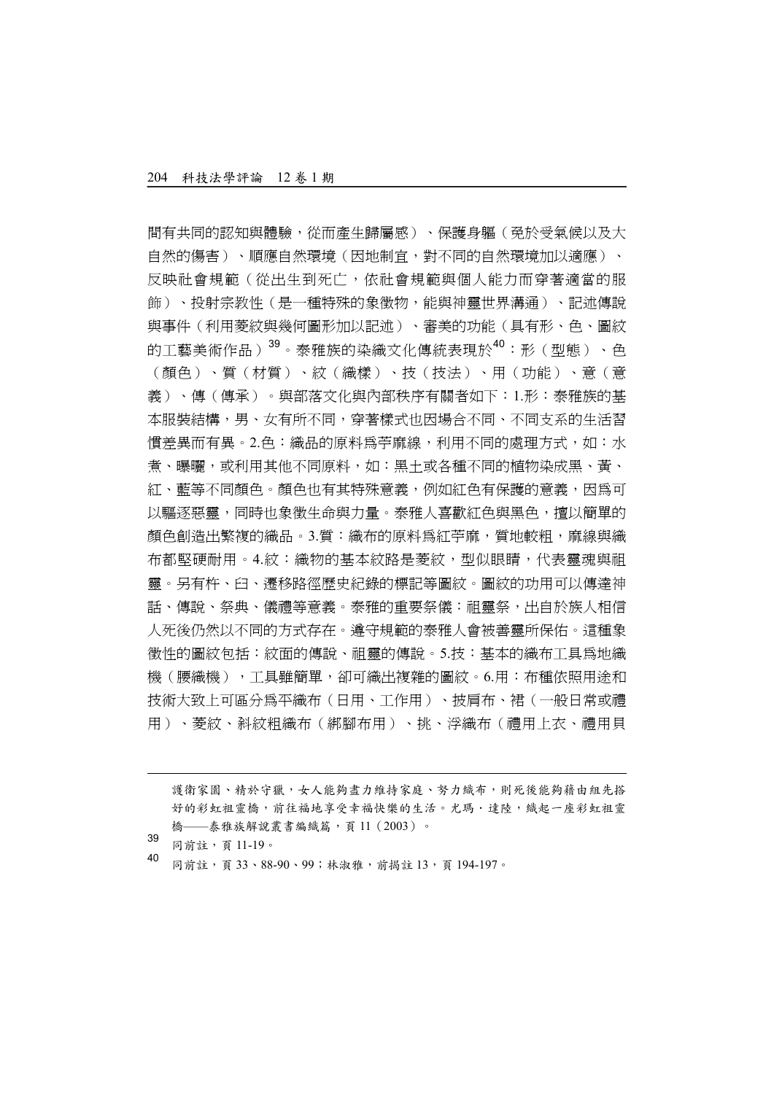間有共同的認知與體驗,從而產生歸屬感)、保護身軀(免於受氣候以及大 自然的傷害)、順應自然環境(因地制宜,對不同的自然環境加以適應)、 反映社會規範(從出生到死亡,依社會規範與個人能力而穿著適當的服 飾)、投射宗教性(是一種特殊的象徵物,能與神靈世界溝通)、記述傳說 與事件(利用菱紋與幾何圖形加以記述)、審美的功能(具有形、色、圖紋 的工藝美術作品)<sup>39</sup>。泰雅族的染織文化傳統表現於<sup>40</sup>:形 (型態)、色 (顏色)、質(材質)、紋(織樣)、技(技法)、用(功能)、意(意 義)、傳(傳承)。與部落文化與內部秩序有關者如下:1.形:泰雅族的基 本服裝結構,男、女有所不同,穿著樣式也因場合不同、不同支系的生活習 慣差異而有異。2.色:織品的原料為苧麻線,利用不同的處理方式,如:水 者、曝曬,或利用其他不同原料,如:黑土或各種不同的植物染成黑、黃、 紅、藍等不同顏色。顏色也有其特殊意義,例如紅色有保護的意義,因為可 以驅逐惡靈,同時也象徵生命與力量。泰雅人喜歡紅色與黑色,擅以簡單的 顏色創浩出繁複的織品。3.質:織布的原料為紅苧麻, 質地較粗, 麻線與織 布都堅硬耐用。4.紋:織物的基本紋路是菱紋,型似眼睛,代表靈魂與祖 靈。另有杵、臼、遷移路徑歷史紀錄的標記等圖紋。圖紋的功用可以傳達神 話、傳說、祭典、儀禮等意義。泰雅的重要祭儀:祖靈祭,出自於族人相信 人死後仍然以不同的方式存在。遵守規範的泰雅人會被善靈所保佑。這種象 徵性的圖紋包括:紋面的傳說、祖靈的傳說。5.技:基本的織布工具為地織 機(腰織機),工具雖簡單,卻可織出複雜的圖紋。6.用:布種依照用途和 技術大致上可區分為平織布(日用、工作用)、披肩布、裙(一般日常或禮 用)、菱紋、斜紋粗織布(綁腳布用)、挑、浮織布(禮用上衣、禮用貝

護衛家園、精於守獵,女人能夠盡力維持家庭、努力織布,則死後能夠藉由組先搭 好的彩虹祖靈橋,前往福地享受幸福快樂的生活。尤瑪·達陸,織起一座彩虹祖靈 橋——泰雅族解說叢書編織篇,頁 11(2003)。

39 同前註,頁 11-19。

l

<sup>40</sup> 同前註,頁 <sup>33</sup>、88-90、99;林淑雅,前揭註 <sup>13</sup>,頁 194-197。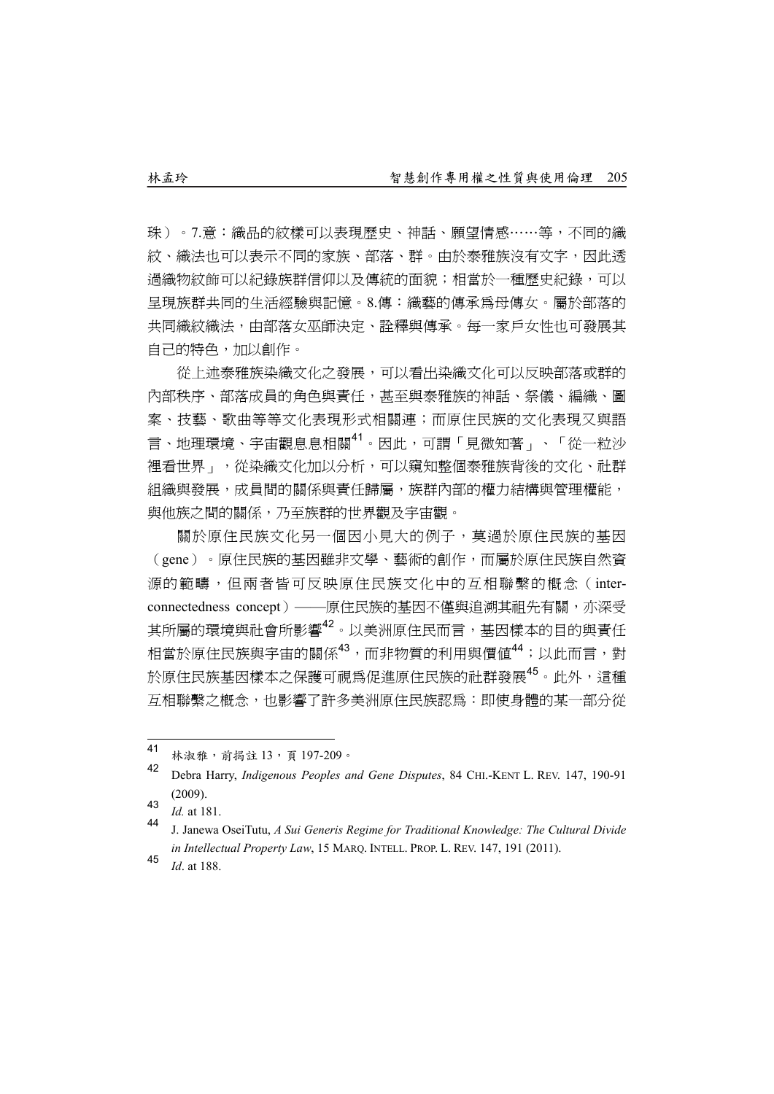珠)。7.意:織品的紋樣可以表現歷史、神話、願望情感……等,不同的織 紋、織法也可以表示不同的家族、部落、群。由於泰雅族沒有文字,因此透 過織物紋飾可以紀錄族群信仰以及傳統的面貌;相當於一種歷史紀錄,可以 呈現族群共同的生活經驗與記憶。8.傳:織藝的傳承為母傳女。屬於部落的 共同織紋織法,由部落女巫師決定、詮釋與傳承。每一家戶女性也可發展其 自己的特色,加以創作。

從上述泰雅族染織文化之發展,可以看出染織文化可以反映部落或群的 內部秩序、部落成員的角色與責任,甚至與泰雅族的神話、祭儀、編織、圖 案、技藝、歌曲等等文化表現形式相關連;而原住民族的文化表現又與語 言、地理環境、宇宙觀息息相關<sup>41</sup>。因此,可謂「見微知著」、「從一粒沙 裡看世界」,從染織文化加以分析,可以窺知整個泰雅族背後的文化、社群 組織與發展,成員間的關係與責任歸屬,族群內部的權力結構與管理權能, 與他族之間的關係,乃至族群的世界觀及宇宙觀。

關於原住民族文化另一個因小見大的例子,莫過於原住民族的基因 (gene)。原住民族的基因雖非文學、藝術的創作,而屬於原住民族自然資 源的範疇,但兩者皆可反映原住民族文化中的互相聯繫的概念(interconnectedness concept)——原住民族的基因不僅與追溯其祖先有關,亦深受 其所屬的環境與社會所影響<sup>42</sup>。以美洲原住民而言,基因樣本的目的與責任 相當於原住民族與宇宙的關係<sup>43</sup>,而非物質的利用與價值<sup>44</sup>;以此而言,對 於原住民族基因樣本之保護可視為促進原住民族的社群發展45。此外,這種 互相聯繫之概念,也影響了許多美洲原住民族認為:即使身體的某一部分從

 $41$ <sup>41</sup> 林淑雅,前揭註 13,頁 197-209。<br>42

<sup>42</sup> Debra Harry, *Indigenous Peoples and Gene Disputes*, 84 CHI.-KENT L. REV. 147, 190-91 (2009).

<sup>43</sup>  $\frac{1}{d}$  at 181.

<sup>44</sup> J. Janewa OseiTutu, *A Sui Generis Regime for Traditional Knowledge: The Cultural Divide in Intellectual Property Law*, 15 MARQ. INTELL. PROP. L. REV. 147, 191 (2011).

<sup>45</sup> *Id*. at 188.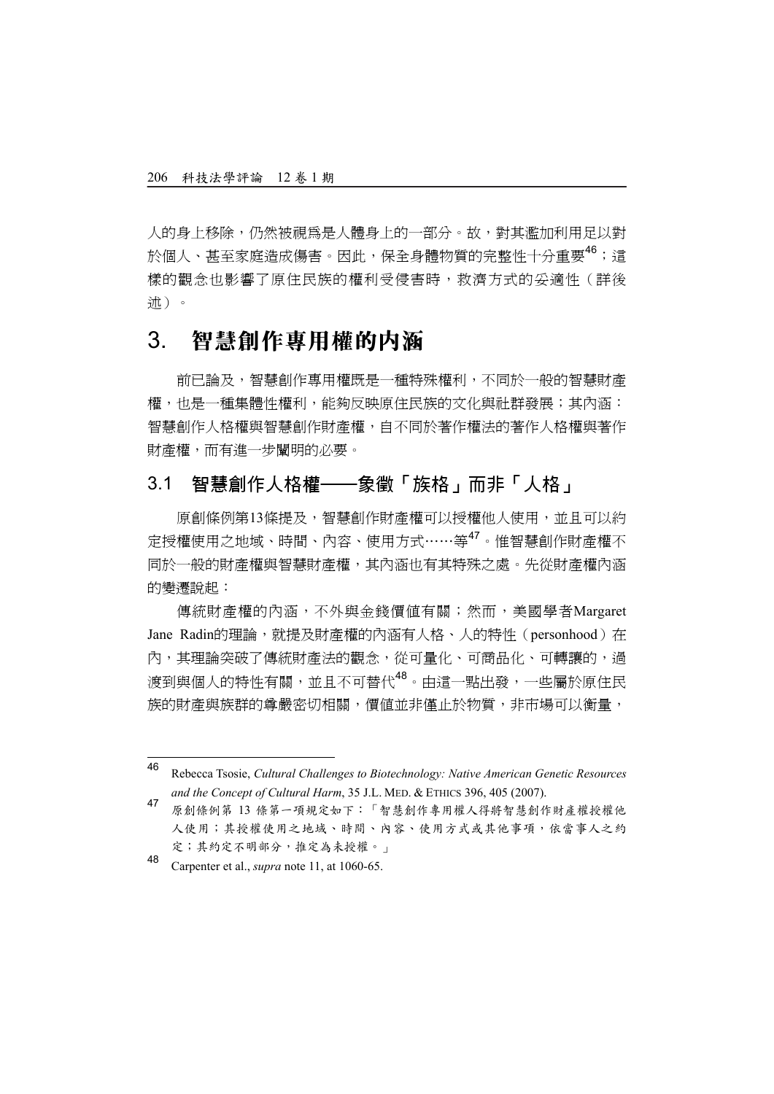人的身上移除,仍然被視為是人體身上的一部分。故,對其濫加利用足以對 於個人、甚至家庭造成傷害。因此,保全身體物質的完整性十分重要<sup>46</sup>;這 樣的觀念也影響了原住民族的權利受侵害時,救濟方式的妥適性(詳後 述)。

## 3. 智慧創作專用權的內涵

前已論及,智慧創作專用權既是一種特殊權利,不同於一般的智慧財產 權,也是一種集體性權利,能夠反映原住民族的文化與社群發展;其內涵: 智慧創作人格權與智慧創作財產權,自不同於著作權法的著作人格權與著作 財產權,而有進一步闡明的必要。

## 3.1 智慧創作人格權——象徵「族格」而非「人格」

原創條例第13條提及,智慧創作財產權可以授權他人使用,並且可以約 定授權使用之地域、時間、內容、使用方式……等47。惟智慧創作財產權不 同於一般的財產權與智慧財產權,其內涵也有其特殊之處。先從財產權內涵 的變遷說起:

傳統財產權的內涵,不外與金錢價值有關;然而,美國學者Margaret Jane Radin的理論,就提及財產權的內涵有人格、人的特性(personhood)在 內,其理論突破了傳統財產法的觀念,從可量化、可商品化、可轉讓的,過 渡到與個人的特性有關,並且不可替代<sup>48</sup>。由這一點出發,一些屬於原住民 族的財產與族群的尊嚴密切相關,價值並非僅止於物質,非市場可以衝量,

 $46$ <sup>46</sup> Rebecca Tsosie, *Cultural Challenges to Biotechnology: Native American Genetic Resources and the Concept of Cultural Harm*, 35 J.L. MED. & ETHICS 396, 405 (2007).

<sup>47</sup> 原創條例第 <sup>13</sup> 條第一項規定如下:「智慧創作專用權人得將智慧創作財產權授權他 人使用;其授權使用之地域、時間、內容、使用方式或其他事項,依當事人之約 定;其約定不明部分,推定為未授權。」

<sup>48</sup> Carpenter et al., *supra* note 11, at 1060-65.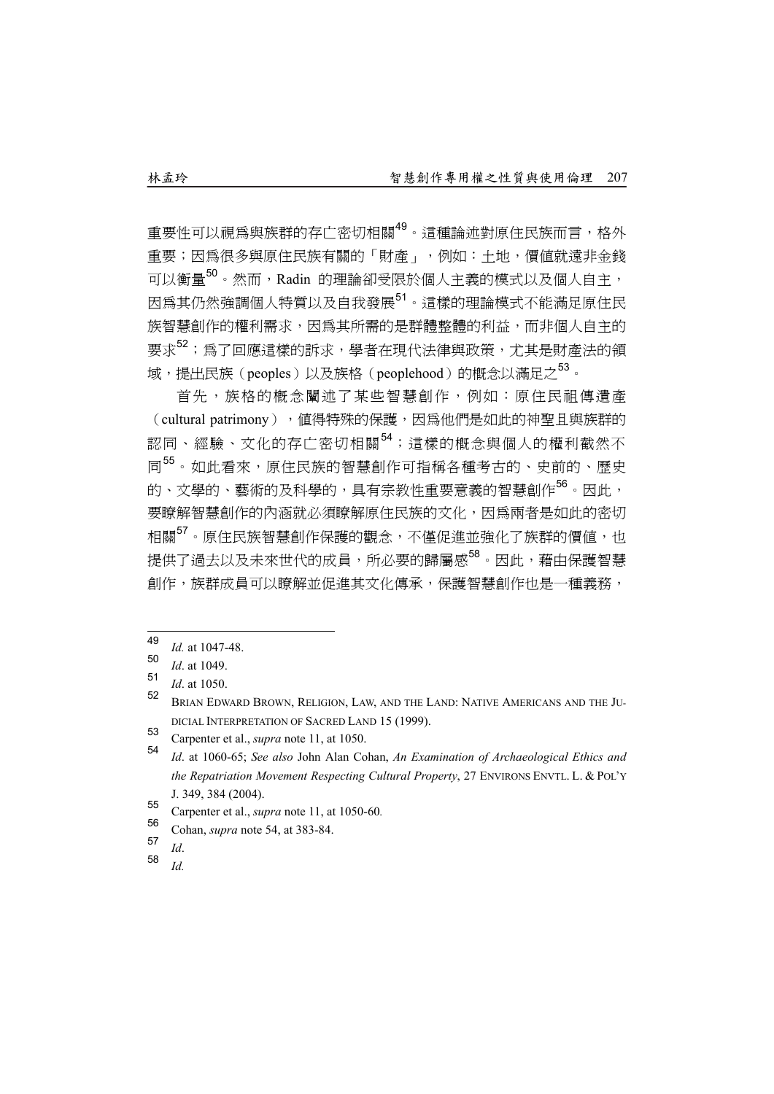重要性可以視為與族群的存亡密切相關49。這種論述對原住民族而言,格外 重要;因為很多與原住民族有關的「財產」,例如:土地,價值就遠非金錢 可以衡量50。然而,Radin 的理論卻受限於個人主義的模式以及個人自主, 因為其仍然強調個人特質以及自我發展51。這樣的理論模式不能滿足原住民 族智慧創作的權利需求,因為其所需的是群體整體的利益,而非個人自主的 要求<sup>52</sup>;為了回應這樣的訴求,學者在現代法律與政策,尤其是財產法的領 域,提出民族(peoples)以及族格(peoplehood)的概念以滿足之<sup>53</sup>。

首先,族格的概念闡述了某些智慧創作,例如:原住民祖傳潰產 (cultural patrimony), 值得特殊的保護, 因為他們是如此的神聖且與族群的 認同、經驗、文化的存亡密切相關<sup>54</sup>;這樣的概念與個人的權利截然不 同<sup>55</sup>。如此看來,原住民族的智慧創作可指稱各種考古的、史前的、歷史 的、文學的、藝術的及科學的,具有宗教性重要意義的智慧創作<sup>56</sup>。因此, 要瞭解智慧創作的內涵就必須瞭解原住民族的文化,因為兩者是如此的密切 相關<sup>57</sup>。原住民族智慧創作保護的觀念,不僅促進並強化了族群的價值,也 提供了過去以及未來世代的成員,所必要的歸屬感<sup>58</sup>。因此,藉由保護智慧 創作,族群成員可以瞭解並促進其文化傳承,保護智慧創作也是一種義務,

- $57$  *Id.*<br> $58$  *IJ*
- <sup>58</sup> *Id.*

<sup>49</sup>  $\frac{49}{50}$  *Id.* at 1047-48.

 $\frac{50}{51}$  *Id.* at 1049.

*Id.* at 1050.

<sup>52</sup> BRIAN EDWARD BROWN, RELIGION, LAW, AND THE LAND: NATIVE AMERICANS AND THE JU-DICIAL INTERPRETATION OF SACRED LAND 15 (1999).

<sup>53</sup> Carpenter et al., *supra* note 11, at 1050.

<sup>54</sup> *Id*. at 1060-65; *See also* John Alan Cohan, *An Examination of Archaeological Ethics and the Repatriation Movement Respecting Cultural Property*, 27 ENVIRONS ENVTL. L. & POL'Y J. 349, 384 (2004).

<sup>55</sup> Carpenter et al., *supra* note 11, at 1050-60*.*

<sup>&</sup>lt;sup>56</sup> Cohan, *supra* note 54, at 383-84.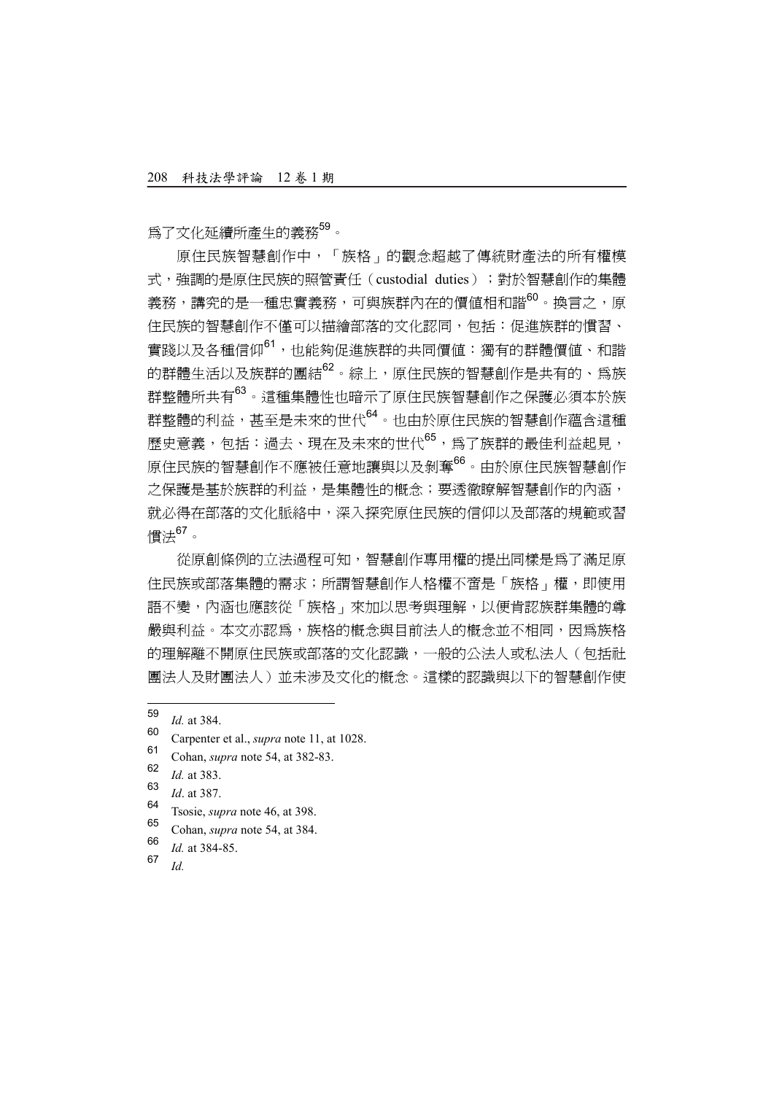為了文化延續所產生的義務59。

原住民族智慧創作中,「族格」的觀念超越了傳統財產法的所有權模 式,确調的是原住民族的照管責任(custodial duties); 對於智慧創作的集體 義務,講究的是一種忠實義務,可與族群內在的價值相和諧<sup>60</sup>。換言之,原 住民族的智慧創作不僅可以描繪部落的文化認同,包括:促進族群的慣習、 實踐以及各種信仰<sup>61</sup>,也能夠促進族群的共同價值:獨有的群體價值、和諧 的群體生活以及族群的團結<sup>62</sup>。綜上,原住民族的智慧創作是共有的、爲族 群整體所共有<sup>63</sup>。這種集體性也暗示了原住民族智慧創作之保護必須本於族 群整體的利益,甚至是未來的世代<sup>64</sup>。也由於原住民族的智慧創作蘊含這種 歷史意義,包括:過去、現在及未來的世代65,為了族群的最佳利益起見, 原住民族的智慧創作不應被任意地讓與以及剝奪<sup>66</sup>。由於原住民族智慧創作 之保護是基於族群的利益,是集體性的概念;要透徹瞭解智慧創作的內涵, 就必得在部落的文化脈絡中,深入探究原住民族的信仰以及部落的規範或習 慣法67。

從原創條例的立法過程可知,智慧創作專用權的提出同樣是為了滿足原 住民族或部落集體的需求;所謂智慧創作人格權不啻是「族格」權,即使用 語不變,內涵也應該從「族格」來加以思考與理解,以便肯認族群集體的尊 嚴與利益。本文亦認為,族格的概念與目前法人的概念並不相同,因為族格 的理解離不開原住民族或部落的文化認識,一般的公法人或私法人(包括社 團法人及財團法人)並未涉及文化的概念。這樣的認識與以下的智慧創作使

- $\frac{66}{67}$  *Id.* at 384-85.
- <sup>67</sup> *Id.*

<sup>59</sup>  $\frac{59}{60}$  *Id.* at 384.

<sup>&</sup>lt;sup>60</sup> Carpenter et al., *supra* note 11, at 1028.

<sup>&</sup>lt;sup>61</sup> Cohan, *supra* note 54, at 382-83.

 $\frac{62}{63}$  *Id.* at 383.

 $\frac{63}{64}$  *Id.* at 387.

<sup>&</sup>lt;sup>04</sup> Tsosie, *supra* note 46, at 398.

<sup>65</sup> Cohan, *supra* note 54, at 384.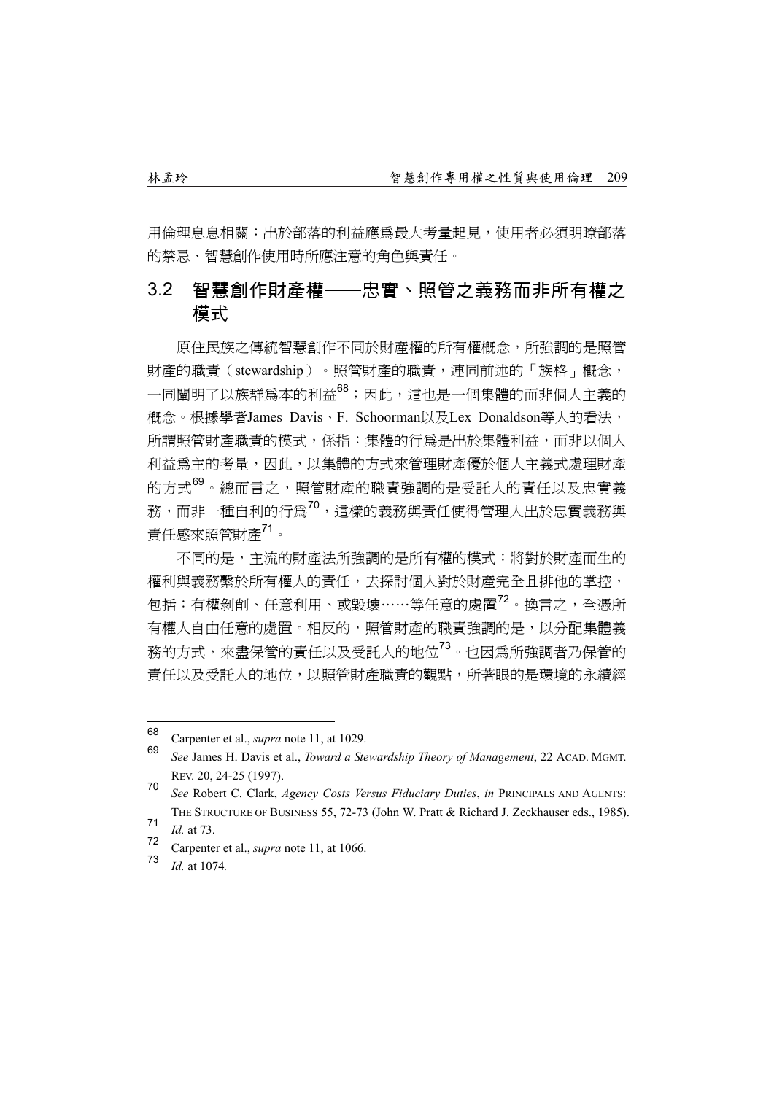用倫理息息相關:出於部落的利益應為最大考量起見,使用者必須明瞭部落 的禁忌、智慧創作使用時所應注意的角色與責任。

## 3.2 智慧創作財產權——忠實、照管之義務而非所有權之 模式

原住民族之傳統智慧創作不同於財產權的所有權概念,所強調的是照管 財產的職責(stewardship)。照管財產的職責,連同前述的「族格」概念, 一同闡明了以族群爲本的利益88;因此,這也是一個集體的而非個人主義的 概念。根據學者James Davis、F. Schoorman以及Lex Donaldson等人的看法, 所謂照管財產職責的模式,係指:集體的行為是出於集體利益,而非以個人 利益為主的考量,因此,以集體的方式來管理財產優於個人主義式處理財產 的方式<sup>69</sup>。總而言之,照管財產的職責強調的是受託人的責任以及忠實義 務,而非一種自利的行為70,這樣的義務與責任使得管理人出於忠實義務與 責任感來照管財產71。

不同的是,主流的財產法所強調的是所有權的模式:將對於財產而生的 權利與義務繫於所有權人的責任,去探討個人對於財產完全且排他的掌控, 包括:有權剝削、任意利用、或毀壞……等任意的處置<sup>72</sup>。換言之,全憑所 有權人自由任意的處置。相反的,照管財產的職責強調的是,以分配集體義 務的方式,來盡保管的責任以及受託人的地位<sup>73</sup>。也因為所強調者乃保管的 責任以及受託人的地位,以照管財產職責的觀點,所著眼的是環境的永續經

<sup>73</sup> *Id.* at 1074*.*

<sup>68</sup> <sup>68</sup> Carpenter et al., *supra* note 11, at 1029.

<sup>69</sup> *See* James H. Davis et al., *Toward a Stewardship Theory of Management*, 22 ACAD. MGMT. REV. 20, 24-25 (1997).

<sup>70</sup> *See* Robert C. Clark, *Agency Costs Versus Fiduciary Duties*, *in* PRINCIPALS AND AGENTS: THE STRUCTURE OF BUSINESS 55, 72-73 (John W. Pratt & Richard J. Zeckhauser eds., 1985).

 $\frac{71}{72}$  *Id.* at 73.

<sup>72</sup> Carpenter et al., *supra* note 11, at 1066.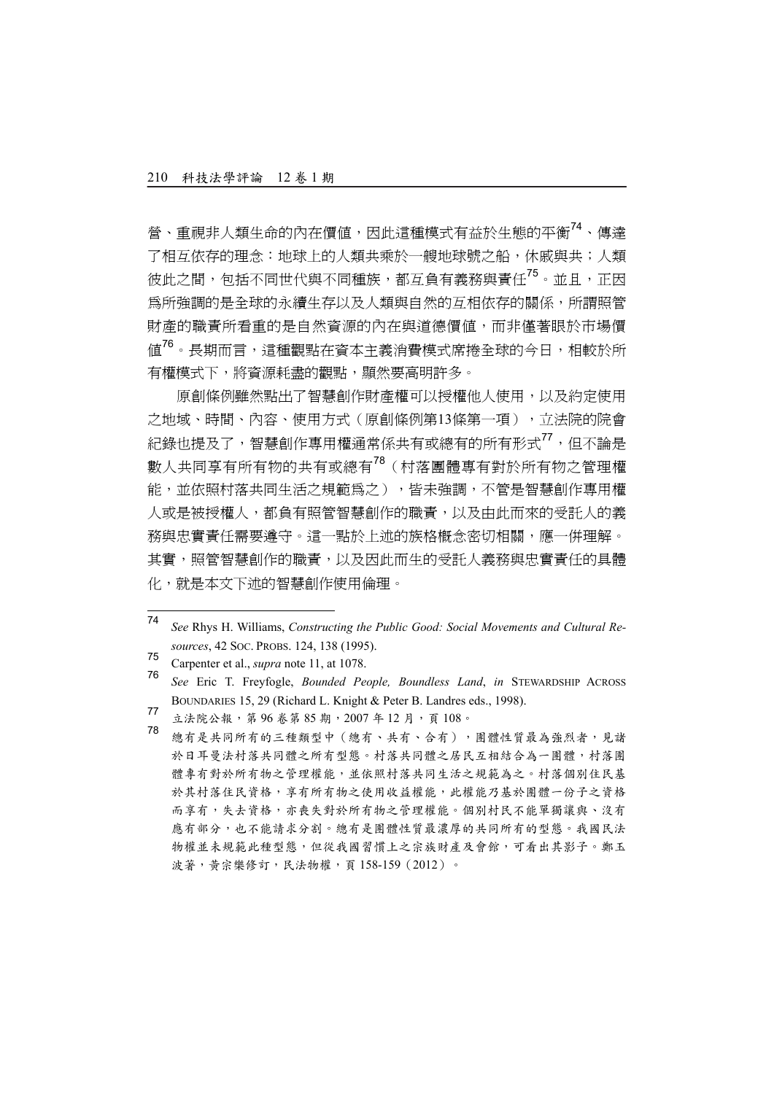營、重視非人類生命的內在價值,因此這種模式有益於生態的平衡<sup>74</sup>、傳達 了相互依存的理念:地球上的人類共乘於一艘地球號之船,休戚與共;人類 彼此之間, 包括不同世代與不同種族, 都互負有義務與責任<sup>75</sup>。並且, 正因 為所強調的是全球的永續生存以及人類與自然的互相依存的關係,所謂照管 財產的職責所看重的是自然資源的內在與道德價值,而非僅著眼於市場價 值76。長期而言,這種觀點在資本主義消費模式席捲全球的今日,相較於所 有權模式下,將資源耗盡的觀點,顯然要高明許多。

原創條例雖然點出了智慧創作財產權可以授權他人使用,以及約定使用 之地域、時間、內容、使用方式(原創條例第13條第一項),立法院的院會 紀錄也提及了,智慧創作專用權通常係共有或總有的所有形式<sup>77</sup>,但不論是 數人共同享有所有物的共有或總有78(村落團體專有對於所有物之管理權 能,並依照村落共同生活之規範為之),皆未強調,不管是智慧創作專用權 人或是被授權人,都負有照管智慧創作的職責,以及由此而來的受託人的義 務與忠實責任需要遵守。這一點於上述的族格概念密切相關,應一併理解。 其實,照管智慧創作的職責,以及因此而生的受託人義務與忠實責任的具體 化,就是本文下述的智慧創作使用倫理。

<sup>74</sup> See Rhys H. Williams, *Constructing the Public Good: Social Movements and Cultural Resources*, 42 SOC. PROBS. 124, 138 (1995).

<sup>75</sup> Carpenter et al., *supra* note 11, at 1078.

<sup>76</sup> *See* Eric T. Freyfogle, *Bounded People, Boundless Land*, *in* STEWARDSHIP ACROSS BOUNDARIES 15, 29 (Richard L. Knight & Peter B. Landres eds., 1998).

<sup>77</sup> 立法院公報,第96卷第85期,2007年12月,頁108。<br>78 約七月出日的左位二任期間中(約左、出左、公右)

總有是共同所有的三種類型中(總有、共有、合有),團體性質最為強烈者,見諸 於日耳曼法村落共同體之所有型態。村落共同體之居民互相結合為一團體,村落團 體專有對於所有物之管理權能,並依照村落共同生活之規範為之。村落個別住民基 於其村落住民資格,享有所有物之使用收益權能,此權能乃基於團體一份子之資格 而享有,失去資格,亦喪失對於所有物之管理權能。個別村民不能單獨讓與、沒有 應有部分,也不能請求分割。總有是團體性質最濃厚的共同所有的型態。我國民法 物權並未規範此種型態,但從我國習慣上之宗族財產及會館,可看出其影子。鄭玉 波著,黃宗樂修訂,民法物權,頁 158-159(2012)。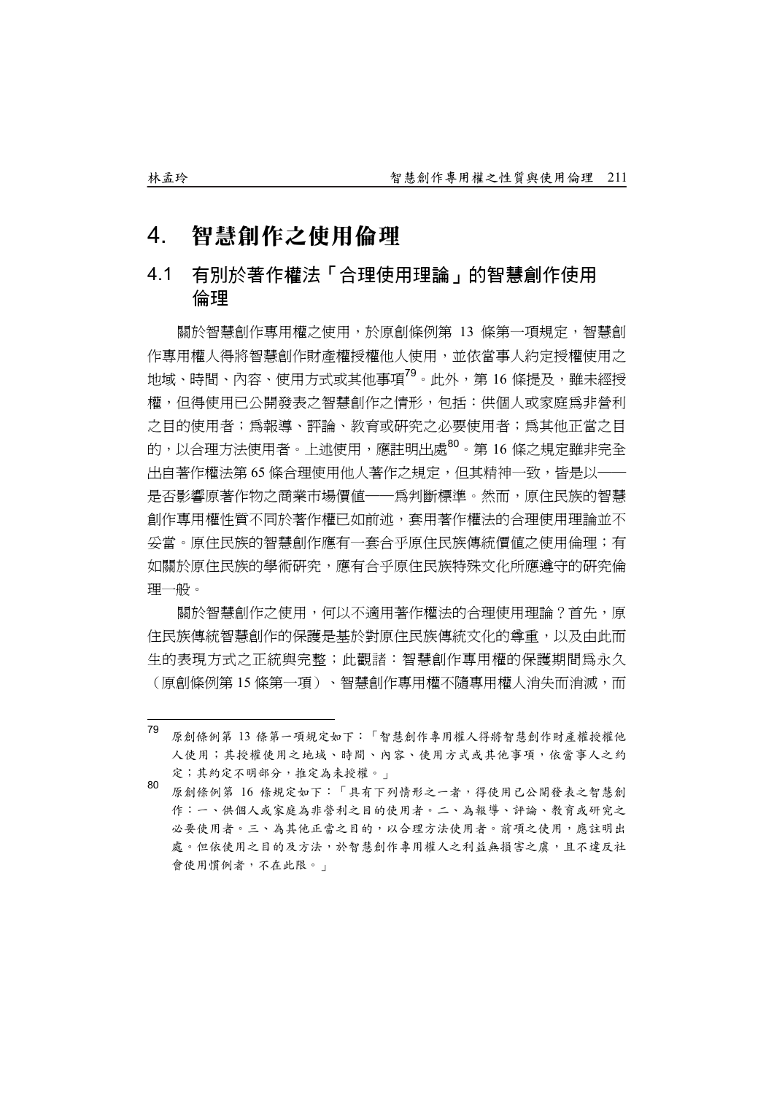## 4. 智慧創作之使用倫理

## 4.1 有別於著作權法「合理使用理論」的智慧創作使用 倫理

關於智慧創作專用權之使用,於原創條例第 13 條第一項規定,智慧創 作專用權人得將智慧創作財產權授權他人使用,並依當事人約定授權使用之 地域、時間、內容、使用方式或其他事項<sup>79</sup>。此外,第 16 條提及,雖未經授 權,但得使用已公開發表之智慧創作之情形,包括:供個人或家庭為非營利 之目的使用者;為報導、評論、教育或研究之必要使用者;為其他正當之目 的,以合理方法使用者。上流使用,確註明出處<sup>80</sup>。第 16 條之規定雖非完全 出自著作權法第 65 條合理使用他人著作之規定,但其精神一致,皆是以—— 是否影響原著作物之商業市場價值——為判斷標準。然而,原住民族的智慧 創作專用權性質不同於著作權已如前述,套用著作權法的合理使用理論並不 妥當。原住民族的智慧創作應有一套合乎原住民族傳統價值之使用倫理;有 如關於原住民族的學術研究,應有合乎原住民族特殊文化所應遵守的研究倫 理一般。

關於智慧創作之使用,何以不適用著作權法的合理使用理論?首先,原 住民族傳統智慧創作的保護是基於對原住民族傳統文化的尊重,以及由此而 生的表現方式之正統與完整;此觀諸:智慧創作專用權的保護期間為永久 (原創條例第 15 條第一項)、智慧創作專用權不隨專用權人消失而消滅,而

<sup>79</sup> 原創條例第 13 條第一項規定如下:「智慧創作專用權人得將智慧創作財產權授權他 人使用;其授權使用之地域、時間、內容、使用方式或其他事項,依當事人之約 定;其約定不明部分,推定為未授權。」

<sup>80</sup> 原創條例第 <sup>16</sup> 條規定如下:「具有下列情形之一者,得使用已公開發表之智慧創 作:一、供個人或家庭為非營利之目的使用者。二、為報導、評論、教育或研究之 必要使用者。三、為其他正當之目的,以合理方法使用者。前項之使用,應註明出 處。但依使用之目的及方法,於智慧創作專用權人之利益無損害之虞,且不違反社 會使用慣例者,不在此限。」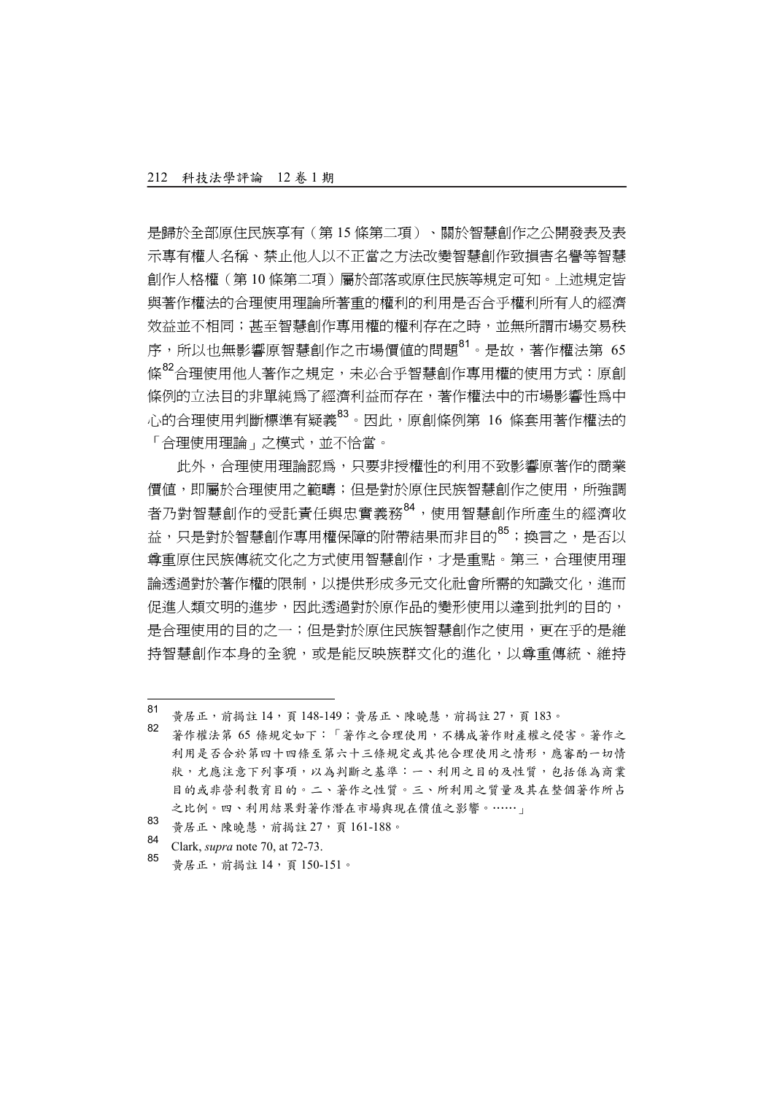是歸於全部原住民族享有(第 15 條第二項)、關於智慧創作之公開發表及表 示專有權人名稱、禁止他人以不正當之方法改變智慧創作致損害名譽等智慧 創作人格權(第 10 條第二項)屬於部落或原住民族等規定可知。上述規定皆 與著作權法的合理使用理論所著重的權利的利用是否合乎權利所有人的經濟 效益並不相同;甚至智慧創作專用權的權利存在之時,並無所謂市場交易秩 序,所以也無影響原智慧創作之市場價值的問題81。是故,著作權法第 65 條<sup>82</sup>合理使用他人著作之規定,未必合乎智慧創作專用權的使用方式:原創 條例的立法目的非單純為了經濟利益而存在,著作權法中的市場影響性為中 心的合理使用判斷標準有疑義<sup>83</sup>。因此,原創條例第 16 條套用著作權法的 「合理使用理論」之模式,並不恰當。

此外,合理使用理論認為,只要非授權性的利用不致影響原著作的商業 價值,即屬於合理使用之範疇;但是對於原住民族智慧創作之使用,所強調 者乃對智慧創作的受託責任與忠實義務<sup>84</sup>,使用智慧創作所產生的經濟收 益,只是對於智慧創作專用權保障的附帶結果而非目的<sup>85</sup>;換言之,是否以 尊重原住民族傳統文化之方式使用智慧創作,才是重點。第三,合理使用理 論透過對於著作權的限制,以提供形成多元文化社會所需的知識文化,進而 促進人類文明的進步,因此透過對於原作品的變形使用以達到批判的目的, 是合理使用的目的之一;但是對於原住民族智慧創作之使用,更在乎的是維 持智慧創作本身的全貌,或是能反映族群文化的進化,以尊重傳統、維持

 $\overline{a}$ 

<sup>85</sup> 黃居正,前揭註 <sup>14</sup>,頁 150-151。

<sup>81</sup> 黃居正,前揭註 14, 頁 148-149;黃居正、陳曉慧,前揭註 27, 頁 183。

<sup>82</sup> 著作權法第 <sup>65</sup> 條規定如下:「著作之合理使用,不構成著作財產權之侵害。著作之 利用是否合於第四十四條至第六十三條規定或其他合理使用之情形,應審酌一切情 狀,尤應注意下列事項,以為判斷之基準:一、利用之目的及性質,包括係為商業 目的或非營利教育目的。二、著作之性質。三、所利用之質量及其在整個著作所占 之比例。四、利用結果對著作潛在市場與現在價值之影響。……」

<sup>83</sup> 黄居正、陳曉慧, 前揭註 27, 頁 161-188。

<sup>84</sup> Clark, *supra* note 70, at 72-73.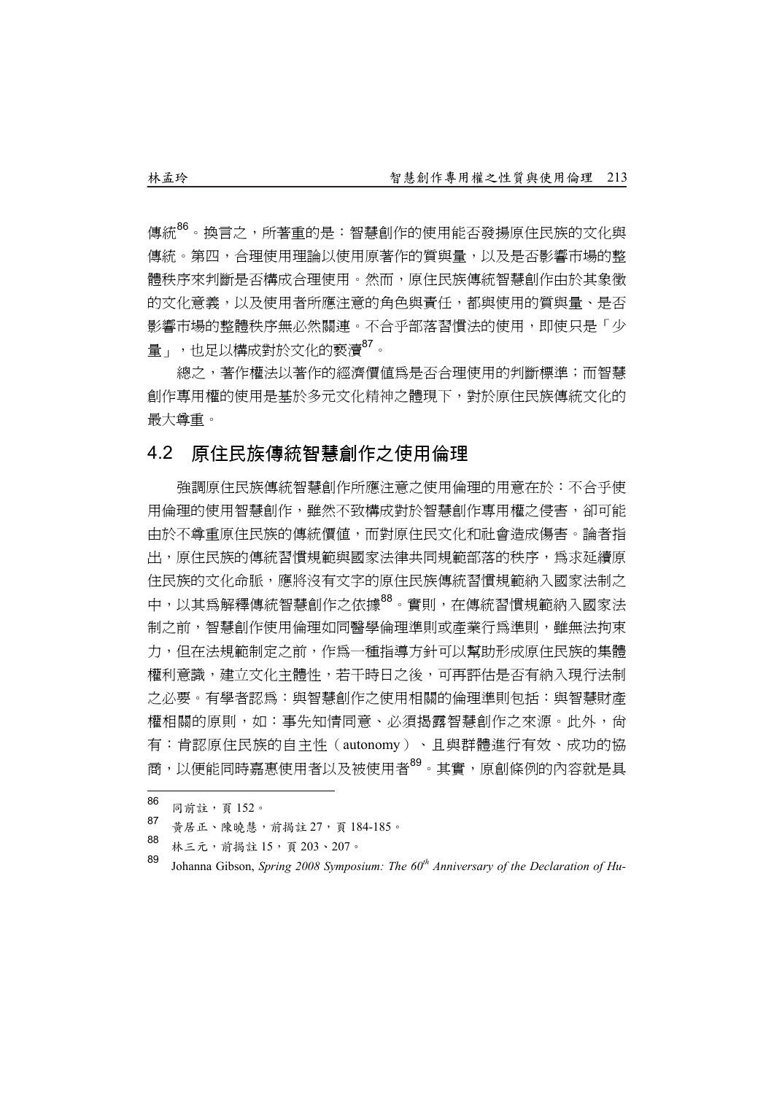傳統<sup>86</sup>。換言之,所著重的是:智慧創作的使用能否發揚原住民族的文化與 傳統。第四,合理使用理論以使用原著作的質與量,以及是否影響市場的整 體秩序來判斷是否構成合理使用。然而,原住民族傳統智慧創作由於其象徵 的文化意義,以及使用者所應注意的角色與責任,都與使用的質與量、是否 影響市場的整體秩序無必然關連。不合乎部落習慣法的使用,即使只是「少 量」,也足以構成對於文化的褻瀆<sup>87</sup>。

總之,著作權法以著作的經濟價值為是否合理使用的判斷標準;而智慧 創作專用權的使用是基於多元文化精神之體現下,對於原住民族傳統文化的 最大尊重。

#### 4.2 原住民族傳統智慧創作之使用倫理

強調原住民族傳統智慧創作所應注意之使用倫理的用意在於:不合乎使 用倫理的使用智慧創作,雖然不致構成對於智慧創作專用權之侵害,卻可能 由於不尊重原住民族的傳統價值,而對原住民文化和社會造成傷害。論者指 出,原住民族的傳統習慣規範與國家法律共同規範部落的秩序,為求延續原 住民族的文化命脈,應將沒有文字的原住民族傳統習慣規範納入國家法制之 中,以其為解釋傳統智慧創作之依據88。實則,在傳統習慣規範納入國家法 制之前,智慧創作使用倫理如同醫學倫理準則或產業行為準則,雖無法拘束 力,但在法規範制定之前,作為一種指導方針可以幫助形成原住民族的集體 權利意識,建立文化主體性,若干時日之後,可再評估是否有納入現行法制 之必要。有學者認爲:與智慧創作之使用相關的倫理準則包括:與智慧財產 權相關的原則,如:事先知情同意、必須揭露智慧創作之來源。此外,尚 有:肯認原住民族的自主性(autonomy)、且與群體進行有效、成功的協 商,以便能同時嘉惠使用者以及被使用者<sup>89</sup>。其實,原創條例的內容就是具

- 黃居正、陳曉慧,前揭註 27,頁 184-185。
- 88 林三元, 前揭註 15, 頁 203、207。

<sup>86</sup>  $\frac{60}{67}$  同前註,頁152。

<sup>89</sup> Johanna Gibson, *Spring 2008 Symposium: The 60th Anniversary of the Declaration of Hu-*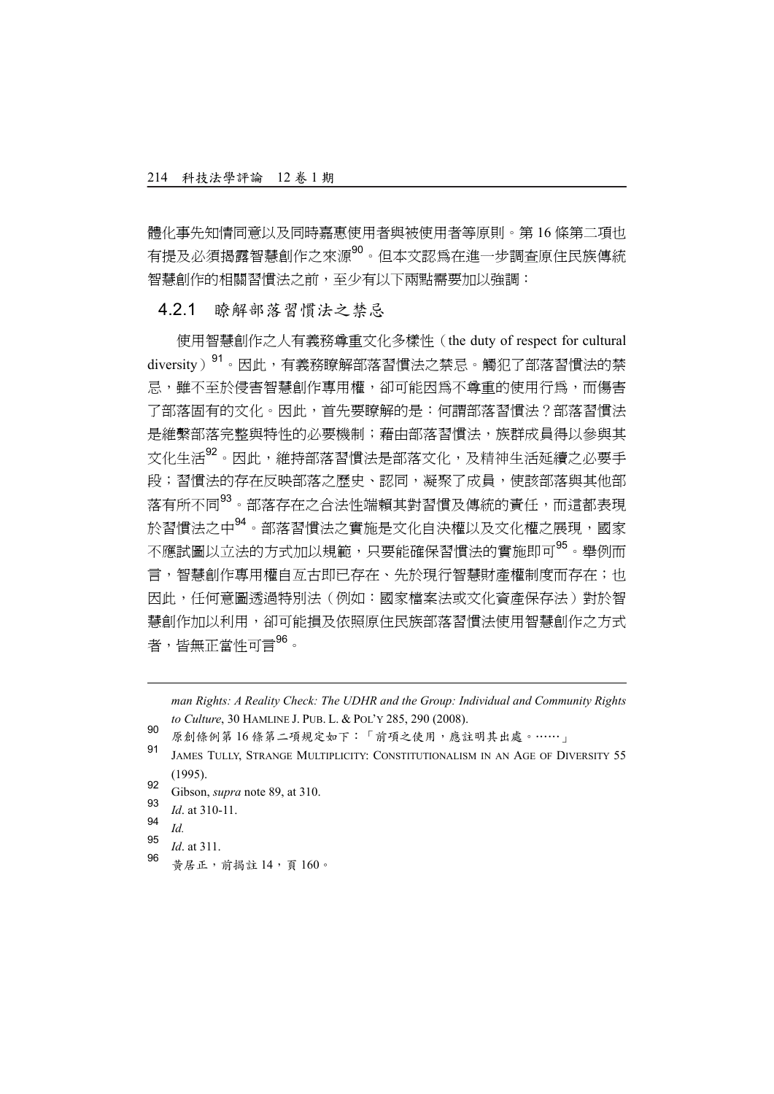體化事先知情同意以及同時嘉惠使用者與被使用者等原則。第 16 條第二項也 有提及必須揭露智慧創作之來源90。但本文認為在進一步調查原住民族傳統 智慧創作的相關習慣法之前,至少有以下兩點需要加以強調:

#### 4.2.1 瞭解部落習慣法之禁忌

使用智慧創作之人有義務尊重文化多樣性(the duty of respect for cultural diversity)<sup>91</sup>。因此,有義務瞭解部落習慣法之禁忌。觸犯了部落習慣法的禁 忌,雖不至於侵害智慧創作專用權,卻可能因為不尊重的使用行為,而傷害 了部落固有的文化。因此,首先要瞭解的是:何謂部落習慣法?部落習慣法 是維繫部落完整與特性的必要機制;藉由部落習慣法,族群成員得以參與其 文化生活<sup>92</sup>。因此,維持部落習慣法是部落文化,及精神生活延續之必要手 段;習慣法的存在反映部落之歷史、認同,凝聚了成員,使該部落與其他部 落有所不同<sup>93</sup>。部落存在之合法性端賴其對習慣及傳統的責任,而這都表現 於習慣法之中<sup>94</sup>。部落習慣法之實施是文化自決權以及文化權之展現,國家 不應試圖以立法的方式加以規範,只要能確保習慣法的實施即可<sup>95</sup>。舉例而 言,智慧創作專用權自亙古即已存在、先於現行智慧財產權制度而存在;也 因此,任何意圖透過特別法(例如:國家檔案法或文化資產保存法)對於智 慧創作加以利用,卻可能損及依照原住民族部落習慣法使用智慧創作之方式 者,皆無正當性可言 $^{96}$ 。

*man Rights: A Reality Check: The UDHR and the Group: Individual and Community Rights to Culture*, 30 HAMLINE J. PUB. L. & POL'Y 285, 290 (2008).

- <sup>90</sup> 原創條例第 <sup>16</sup> 條第二項規定如下:「前項之使用,應註明其出處。……」
- <sup>91</sup> JAMES TULLY, STRANGE MULTIPLICITY: CONSTITUTIONALISM IN AN AGE OF DIVERSITY 55 (1995).
- <sup>92</sup> Gibson, *supra* note 89, at 310.
- $\frac{93}{94}$  *Id.* at 310-11.
- $\frac{94}{95}$  *Id.*

l

- $\frac{95}{96}$  *Id.* at 311.
- <sup>96</sup> 黃居正,前揭註 <sup>14</sup>,頁 <sup>160</sup>。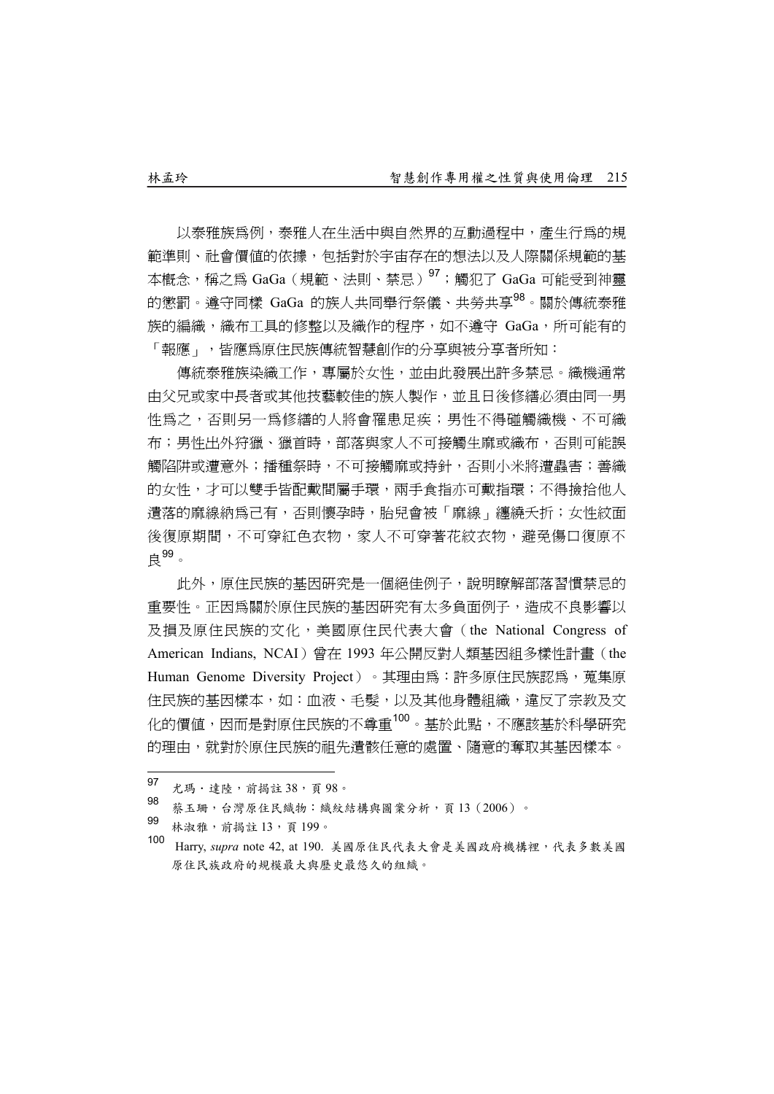以泰雅族為例,泰雅人在生活中與自然界的互動過程中,產生行為的規 範準則、社會價值的依據,包括對於宇宙存在的想法以及人際關係規範的基 本概念,稱之爲 GaGa(規範、法則、禁忌)<sup>97</sup>;觸犯了 GaGa 可能受到神靈 的懲罰。遵守同樣 GaGa 的族人共同舉行祭儀、共勞共享98。關於傳統泰雅 族的編織,織布工具的修整以及織作的程序,如不遵守 GaGa,所可能有的 「報應」,皆應為原住民族傳統智慧創作的分享與被分享者所知:

傳統泰雅族染織工作,專屬於女性,並由此發展出許多禁忌。織機通常 由父兄或家中長者或其他技藝較佳的族人製作,並且日後修繕必須由同一男 性為之,不則另一為修繕的人將會罹患足疾;男性不得碰觸織機、不可織 布;男性出外狩獵、獵首時,部落與家人不可接觸生麻或織布,否則可能誤 觸陷阱或遭意外;播種祭時,不可接觸麻或持針,否則小米將遭蟲害;善織 的女性,才可以雙手皆配戴間屬手環,兩手食指亦可戴指環;不得撿拾他人 遺落的麻線納為己有,否則懷孕時,胎兒會被「麻線」纏繞夭折;女性紋面 後復原期間,不可穿似不可穿著花紋衣物,避免傷口復原不 良99。

此外,原住民族的基因研究是一個絕佳例子,說明瞭解部落習慣禁忌的 重要性。正因為關於原住民族的基因研究有太多負面例子,造成不良影響以 及損及原住民族的文化,美國原住民代表大會(the National Congress of American Indians, NCAI)曾在 1993 年公開反對人類基因組多樣性計畫(the Human Genome Diversity Project)。其理由為:許多原住民族認為,蒐集原 住民族的基因樣本,如:血液、毛髮,以及其他身體組織,違反了宗教及文 化的價值,因而是對原住民族的不尊重<sup>100</sup>。基於此點,不應該基於科學研究 的理由,就對於原住民族的祖先遺骸任意的處置、隨意的奪取其基因樣本。

- 林淑雅,前揭註 13,頁 199。
- <sup>100</sup> Harry, *supra* note 42, at 190. 美國原住民代表大會是美國政府機構裡,代表多數美國 原住民族政府的規模最大與歷史最悠久的組織。

<sup>97</sup> 97 九瑪·達陸,前揭註 38,頁 98。<br>98 **第五章 《灣區公民黨**出大學公

<sup>98</sup> 蔡玉珊,台灣原住民織物:織紋結構與圖案分析,頁13(2006)。<br>99 http://www.hara-management.com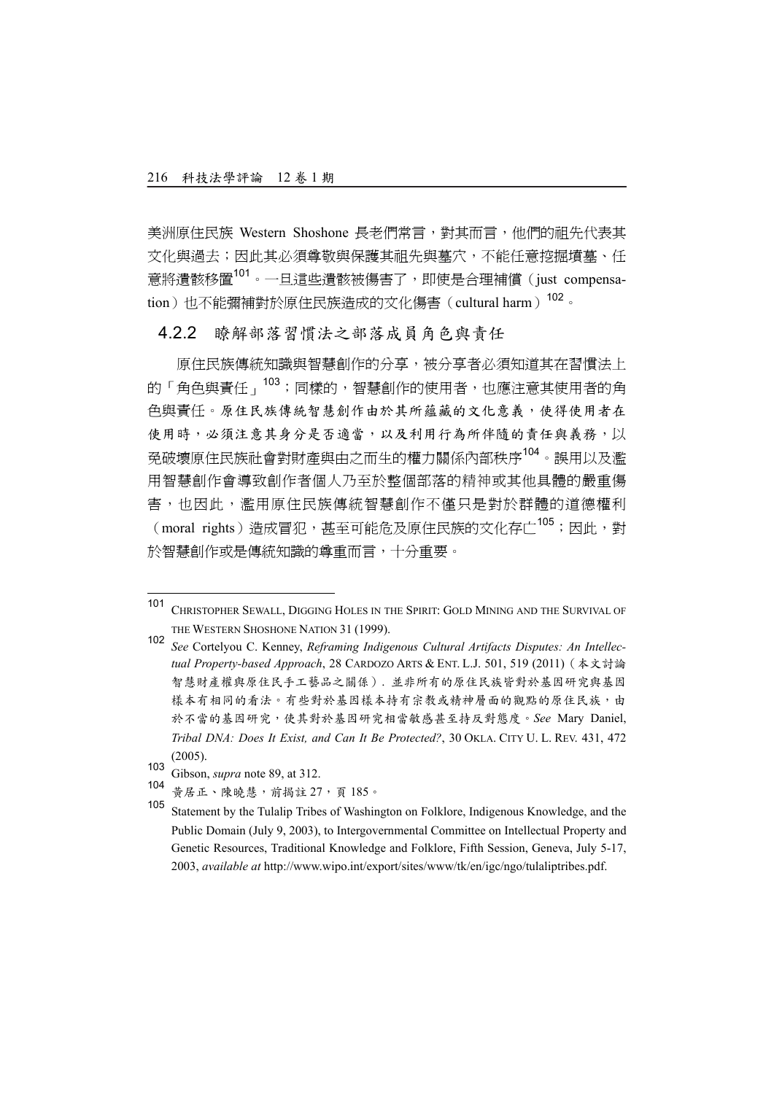美洲原住民族 Western Shoshone 長老們常言,對其而言,他們的祖先代表其 文化與過去;因此其必須尊敬與保護其祖先與墓穴,不能任意挖掘墳墓、任 意將遺骸移置101。一旦這些遺骸被傷害了,即使是合理補償(just compensation)也不能彌補對於原住民族造成的文化傷害(cultural harm)<sup>102</sup>。

4.2.2 瞭解部落習慣法之部落成員角色與責任

原住民族傳統知識與智慧創作的分享,被分享者必須知道其在習慣法上 的「角色與責任」<sup>103</sup>;同樣的,智慧創作的使用者,也應注意其使用者的角 色與責任。原住民族傳統智慧創作由於其所蘊藏的文化意義,使得使用者在 使用時,必須注意其身分是否適當,以及利用行為所伴隨的責任與義務,以 免破壞原住民族社會對財產與由之而生的權力關係內部秩序104。誤用以及濫 用智慧創作會導致創作者個人乃至於整個部落的精神或其他具體的嚴重傷 害,也因此,濫用原住民族傳統智慧創作不僅只是對於群體的道德權利 (moral rights)造成冒犯,甚至可能危及原住民族的文化存亡<sup>105</sup>;因此,對 於智慧創作或是傳統知識的尊重而言,十分重要。

<sup>101</sup> CHRISTOPHER SEWALL, DIGGING HOLES IN THE SPIRIT: GOLD MINING AND THE SURVIVAL OF THE WESTERN SHOSHONE NATION 31 (1999).

<sup>102</sup> *See* Cortelyou C. Kenney, *Reframing Indigenous Cultural Artifacts Disputes: An Intellectual Property-based Approach*, 28 CARDOZO ARTS & ENT. L.J. 501, 519 (2011)(本文討論 智慧財產權與原住民手工藝品之關係). 並非所有的原住民族皆對於基因研究與基因 樣本有相同的看法。有些對於基因樣本持有宗教或精神層面的觀點的原住民族,由 於不當的基因研究,使其對於基因研究相當敏感甚至持反對態度。*See* Mary Daniel, *Tribal DNA: Does It Exist, and Can It Be Protected?*, 30 OKLA. CITY U. L. REV. 431, 472 (2005).

<sup>103</sup> Gibson, *supra* note 89, at 312.

黃居正、陳曉慧,前揭註 27,頁 185。

<sup>105</sup> Statement by the Tulalip Tribes of Washington on Folklore, Indigenous Knowledge, and the Public Domain (July 9, 2003), to Intergovernmental Committee on Intellectual Property and Genetic Resources, Traditional Knowledge and Folklore, Fifth Session, Geneva, July 5-17, 2003, *available at* http://www.wipo.int/export/sites/www/tk/en/igc/ngo/tulaliptribes.pdf.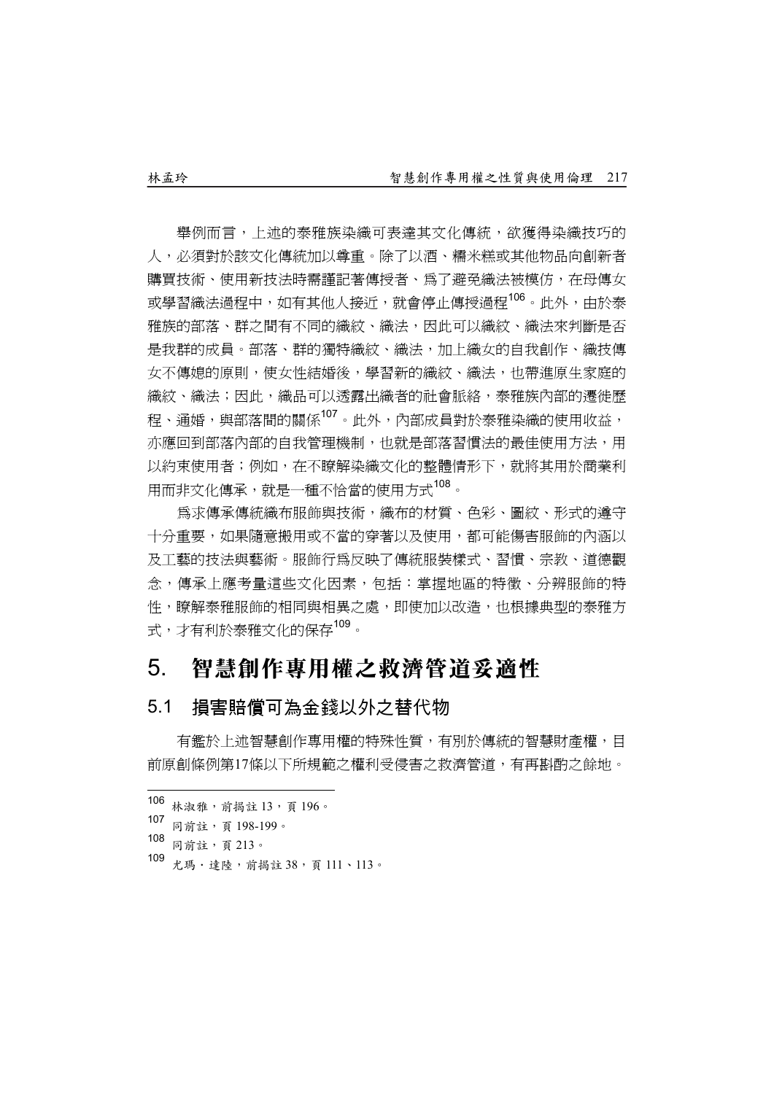舉例而言,上述的泰雅族染織可表達其文化傳統,欲獲得染織技巧的 人,必須對於該文化傳統加以尊重。除了以酒、糯米糕或其他物品向創新者 購買技術、使用新技法時需謹記著傳授者、為了避免織法被模仿,在母傳女 或學習織法過程中,如有其他人接近,就會停止傳授過程<sup>106</sup>。此外,由於泰 雅族的部落、群之間有不同的織紋、織法,因此可以織紋、織法來判斷是否 是我群的成員。部落、群的獨特織紋、織法,加上織女的自我創作、織技傳 女不傳媳的原則,使女性結婚後,學習新的織紋、織法,也帶進原生家庭的 織紋、織法;因此,織品可以诱露出織者的社會脈絡,泰雅族內部的遷徙歷 程、通婚,與部落間的關係<sup>107</sup>。此外,內部成員對於泰雅染織的使用收益, 亦應回到部落內部的自我管理機制,也就是部落習慣法的最佳使用方法,用 以約束使用者;例如,在不瞭解染織文化的整體情形下,就將其用於商業利 用而非文化傳承,就是一種不恰當的使用方式<sup>108</sup>。

為求傳承傳統織布服飾與技術,織布的材質、色彩、圖紋、形式的遵守 十分重要,如果隨意搬用或不當的穿著以及使用,都可能傷害服飾的內涵以 及工藝的技法與藝術。服飾行為反映了傳統服裝樣式、習慣、宗教、道德觀 念,傳承上應考量這些文化因素,包括:掌握地區的特徵、分辨服飾的特 性,瞭解泰雅服飾的相同與相異之處,即使加以改造,也根據典型的泰雅方 式,才有利於泰雅文化的保存<sup>109</sup>。

## 5. 智慧創作專用權之救濟管道妥適性

#### 5.1 損害賠償可為金錢以外之替代物

有鑑於上述智慧創作專用權的特殊性質,有別於傳統的智慧財產權,目 前原創條例第17條以下所規範之權利受侵害之救濟管道,有再斟酌之餘地。

- <sup>108</sup> 同前註,頁 <sup>213</sup>。
- 109 尤瑪·達陸,前揭註 38,頁 111、113。

<sup>106</sup> 106 林淑雅, 前揭註 13, 頁 196。<br>107 日兰公 - 五 108, 100

<sup>107</sup> 同前註,頁 198-199。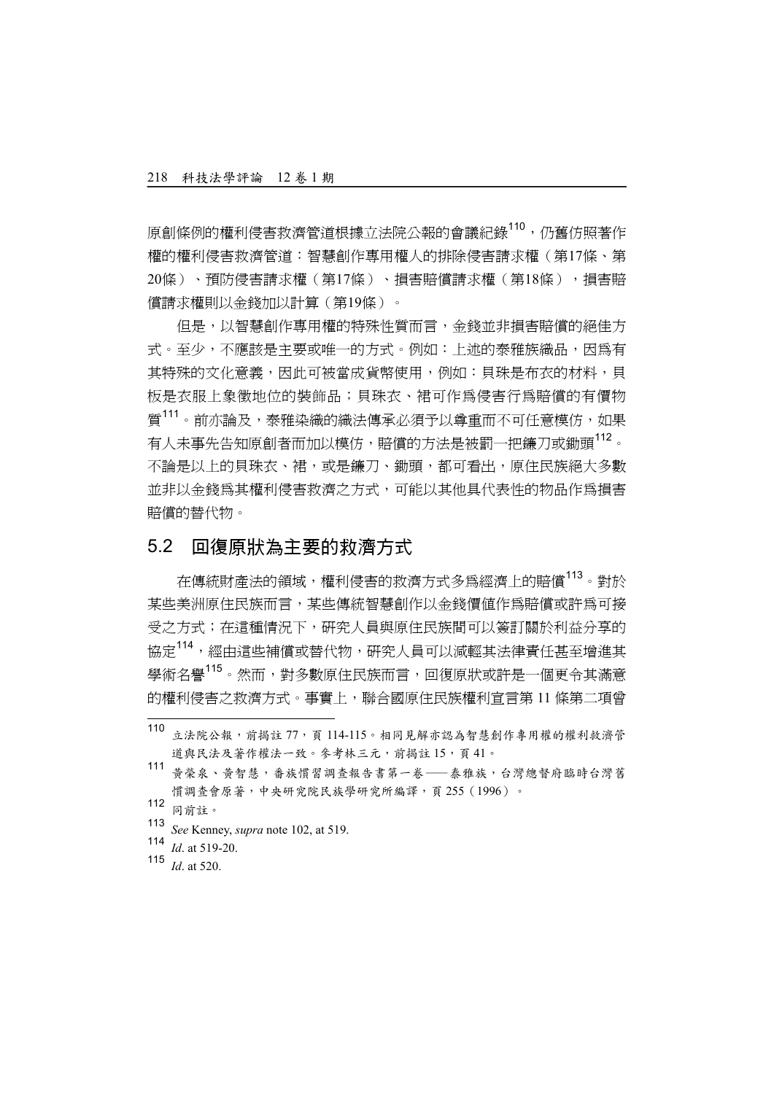原創條例的權利侵害救濟管道根據立法院公報的會議紀錄<sup>110</sup>,仍舊仿照著作 權的權利侵害救濟管道:智慧創作專用權人的排除侵害請求權(第17條、第 20條)、預防侵害請求權(第17條)、損害賠償請求權(第18條),損害賠 償請求權則以金錢加以計算(第19條)。

但是,以智慧創作專用權的特殊性質而言,金錢並非損害賠償的絕佳方 式。至少,不應該是主要或唯一的方式。例如:上流的泰雅族織品,因為有 其特殊的文化意義,因此可被當成貨幣使用,例如:貝珠是布衣的材料,貝 板是衣服上象徵地位的裝飾品;貝珠衣、裙可作為侵害行為賠償的有價物 質<sup>111</sup>。前亦論及,泰雅染織的織法傳承必須予以尊重而不可任意模仿,如果 有人未事先告知原創者而加以模仿,賠償的方法是被罰一把鐮刀或鋤頭<sup>112</sup>。 不論是以上的貝珠衣、裙,或是鐮刀、鋤頭,都可看出,原住民族絕大多數 並非以金錢為其權利侵害救濟之方式,可能以其他具代表性的物品作為損害 賠償的替代物。

#### 5.2 回復原狀為主要的救濟方式

在傳統財產法的領域,權利侵害的救濟方式多為經濟上的賠償113。對於 某些美洲原住民族而言,某些傳統智慧創作以金錢價值作為賠償或許為可接 受之方式;在這種情況下,研究人員與原住民族間可以簽訂關於利益分享的 協定<sup>114</sup>,經由這些補償或替代物,研究人員可以減輕其法律責任甚至增進其 學術名譽<sup>115</sup>。然而,對多數原住民族而言,回復原狀或許是一個更令其滿意 的權利侵害之救濟方式。事實上,聯合國原住民族權利宣言第 11 條第二項曾

 $\overline{\phantom{a}}$ 

<sup>113</sup> *See* Kenney, *supra* note 102, at 519.

<sup>110&</sup>lt;br>立法院公報,前揭註 77,頁 114-115。相同見解亦認為智慧創作專用權的權利救濟管 道與民法及著作權法一致。參考林三元,前揭註 15,頁 41。

<sup>111</sup> 黃榮泉、黃智慧,番族慣習調查報告書第一卷——泰雅族,台灣總督府臨時台灣舊 慣調查會原著,中央研究院民族學研究所編譯,頁 255(1996)。

<sup>112</sup> 同前註。

<sup>114</sup>  $\overline{Id}$ . at 519-20.

<sup>115</sup> *Id*. at 520.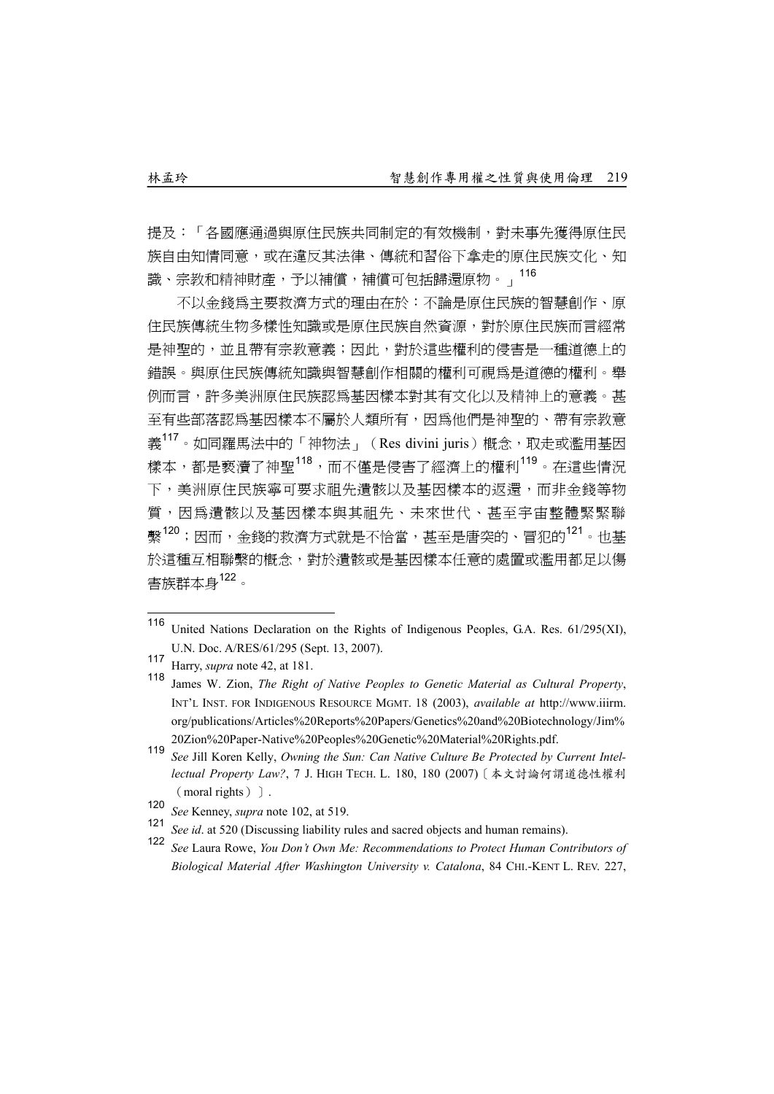提及:「各國應通過與原住民族共同制定的有效機制,對未事先獲得原住民 族自由知情同意,或在違反其法律、傳統和習俗下拿走的原住民族文化、知 識、宗教和精神財產,予以補償,補償可包括歸還原物。」<br>116

不以金錢為主要救濟方式的理由在於:不論是原住民族的智慧創作、原 住民族傳統生物多樣性知識或是原住民族自然資源,對於原住民族而言經常 是神聖的,並且帶有宗教意義;因此,對於這些權利的侵害是一種道德上的 錯誤。與原住民族傳統知識與智慧創作相關的權利可視為是道德的權利。舉 例而言,許多美洲原住民族認為基因樣本對其有文化以及精神上的意義。甚 至有些部落認為基因樣本不屬於人類所有,因為他們是神聖的、帶有宗教意 義<sup>117</sup>。如同羅馬法中的「神物法」 (Res divini juris) 概念, 取走或濫用基因 樣本,都是褻瀆了神聖<sup>118</sup>,而不僅是侵害了經濟上的權利<sup>119</sup>。在這些情況 下,美洲原住民族寧可要求祖先潰骸以及基因樣本的返還,而非金錢等物 質,因為遺骸以及基因樣本與其祖先、未來世代、甚至宇宙整體緊緊聯 繫<sup>120</sup>;因而,金錢的救濟方式就是不恰當,甚至是唐突的、冒犯的<sup>121</sup>。也基 於這種互相聯繫的概念,對於遺骸或是基因樣本任意的處置或濫用都足以傷 害族群本身122。

<sup>116</sup> United Nations Declaration on the Rights of Indigenous Peoples, G.A. Res. 61/295(XI), U.N. Doc. A/RES/61/295 (Sept. 13, 2007).

<sup>117</sup> Harry, *supra* note 42, at 181.

<sup>118</sup> James W. Zion, *The Right of Native Peoples to Genetic Material as Cultural Property*, INT'L INST. FOR INDIGENOUS RESOURCE MGMT. 18 (2003), *available at* http://www.iiirm. org/publications/Articles%20Reports%20Papers/Genetics%20and%20Biotechnology/Jim% 20Zion%20Paper-Native%20Peoples%20Genetic%20Material%20Rights.pdf.

<sup>119</sup> *See* Jill Koren Kelly, *Owning the Sun: Can Native Culture Be Protected by Current Intellectual Property Law?*, 7 J. HIGH TECH. L. 180, 180 (2007)[本文討論何謂道德性權利 (moral rights) ].

<sup>120</sup> *See* Kenney, *supra* note 102, at 519.

<sup>&</sup>lt;sup>121</sup> *See id.* at 520 (Discussing liability rules and sacred objects and human remains).<br>122 Set Lease Report of the contract of the contract of the contract of the contract of the contract of the contract of the contract

<sup>122</sup> *See* Laura Rowe, *You Don't Own Me: Recommendations to Protect Human Contributors of Biological Material After Washington University v. Catalona*, 84 CHI.-KENT L. REV. 227,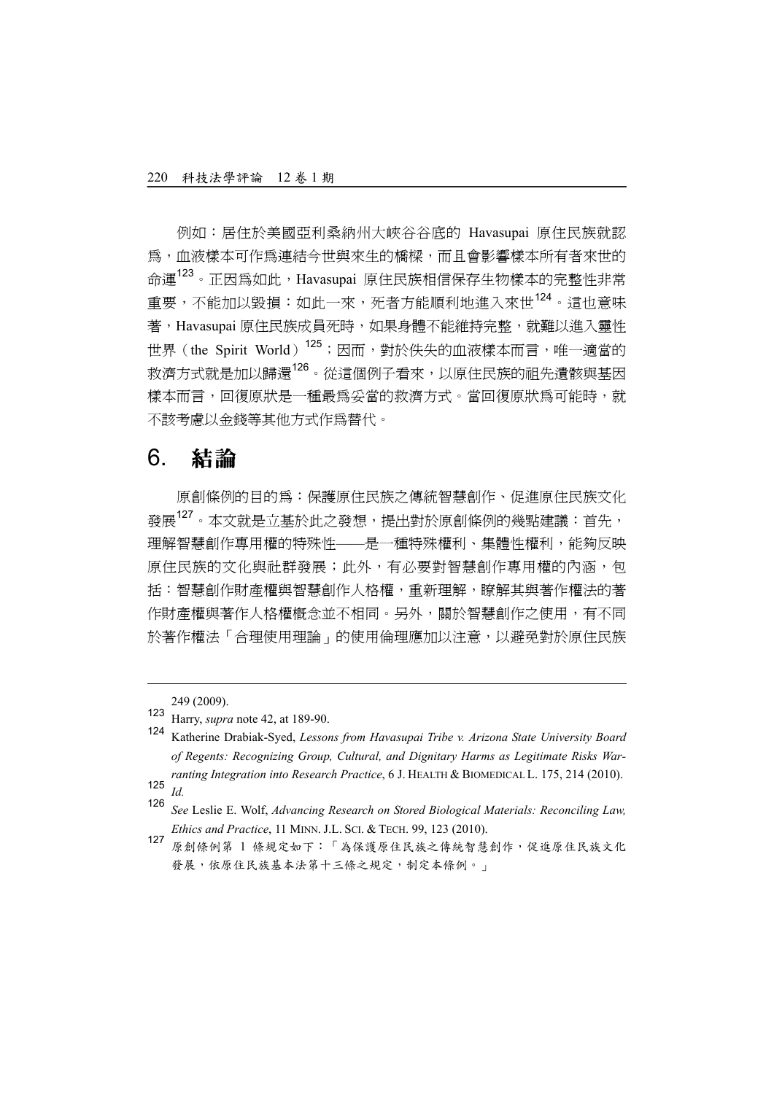例如:居住於美國亞利桑納州大峽谷谷底的 Havasupai 原住民族就認 為,血液樣本可作為連結今世與來生的橋樑,而且會影響樣本所有者來世的 命運<sup>123</sup>。正因為如此,Havasupai 原住民族相信保存生物樣本的完整性非常 重要,不能加以毀損:如此一來,死者方能順利地進入來世<sup>124</sup>。這也意味 著, Havasupai 原住民族成員死時, 如果身體不能維持完整, 就難以進入靈性 世界 (the Spirit World)<sup>125</sup>;因而,對於佚失的血液樣本而言,唯一適當的 救濟方式就是加以歸還<sup>126</sup>。從這個例子看來,以原住民族的祖先遺骸與基因 樣本而言,回復原狀是一種最為妥當的救濟方式。當回復原狀為可能時,就 不該考慮以金錢等其他方式作為替代。

## 6. 結論

原創條例的目的為:保護原住民族之傳統智慧創作、促進原住民族文化 發展<sup>127</sup>。本文就是立基於此之發想,提出對於原創條例的幾點建議:首先, 理解智慧創作專用權的特殊性——是一種特殊權利、集體性權利,能夠反映 原住民族的文化與社群發展;此外,有必要對智慧創作專用權的內涵,包 括:智慧創作財產權與智慧創作人格權,重新理解,瞭解其與著作權法的著 作財產權與著作人格權概念並不相同。另外,關於智慧創作之使用,有不同 於著作權法「合理使用理論」的使用倫理應加以注意,以避免對於原住民族

l

<sup>249 (2009).</sup> 

<sup>123</sup> Harry, *supra* note 42, at 189-90.<br>124 Kotherine Drabiek Syed, Lesse

<sup>124</sup> Katherine Drabiak-Syed, *Lessons from Havasupai Tribe v. Arizona State University Board of Regents: Recognizing Group, Cultural, and Dignitary Harms as Legitimate Risks Warranting Integration into Research Practice*, 6 J. HEALTH & BIOMEDICAL L. 175, 214 (2010).  $\frac{125}{126}$  *Id.* 

<sup>126</sup> *See* Leslie E. Wolf, *Advancing Research on Stored Biological Materials: Reconciling Law, Ethics and Practice*, 11 MINN. J.L. SCI. & TECH. 99, 123 (2010).

<sup>127</sup> 原創條例第 1 條規定如下: 「為保護原住民族之傳統智慧創作,促進原住民族文化 發展,依原住民族基本法第十三條之規定,制定本條例。」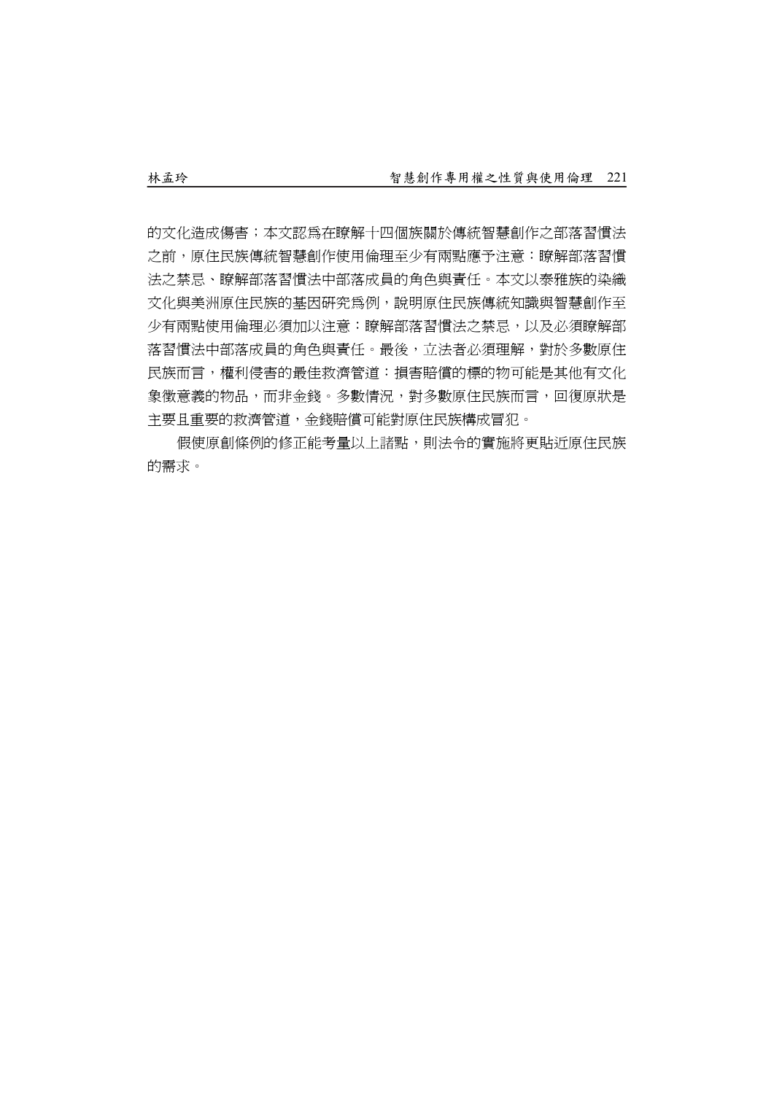的文化造成傷害;本文認為在瞭解十四個族關於傳統智慧創作之部落習慣法 之前,原住民族傳統智慧創作使用倫理至少有兩點應予注意:瞭解部落習慣 法之禁忌、瞭解部落習慣法中部落成員的角色與責任。本文以泰雅族的染織 文化與美洲原住民族的基因研究為例,說明原住民族傳統知識與智慧創作至 少有兩點使用倫理必須加以注意:瞭解部落習慣法之禁忌,以及必須瞭解部 落習慣法中部落成員的角色與責任。最後,立法者必須理解,對於多數原住 民族而言,權利侵害的最佳救濟管道:損害賠償的標的物可能是其他有文化 象徵意義的物品,而非金錢。多數情況,對多數原住民族而言,回復原狀是 主要且重要的救濟管道,金錢賠償可能對原住民族構成冒犯。

假使原創條例的修正能考量以上諸點,則法令的實施將更貼近原住民族 的需求。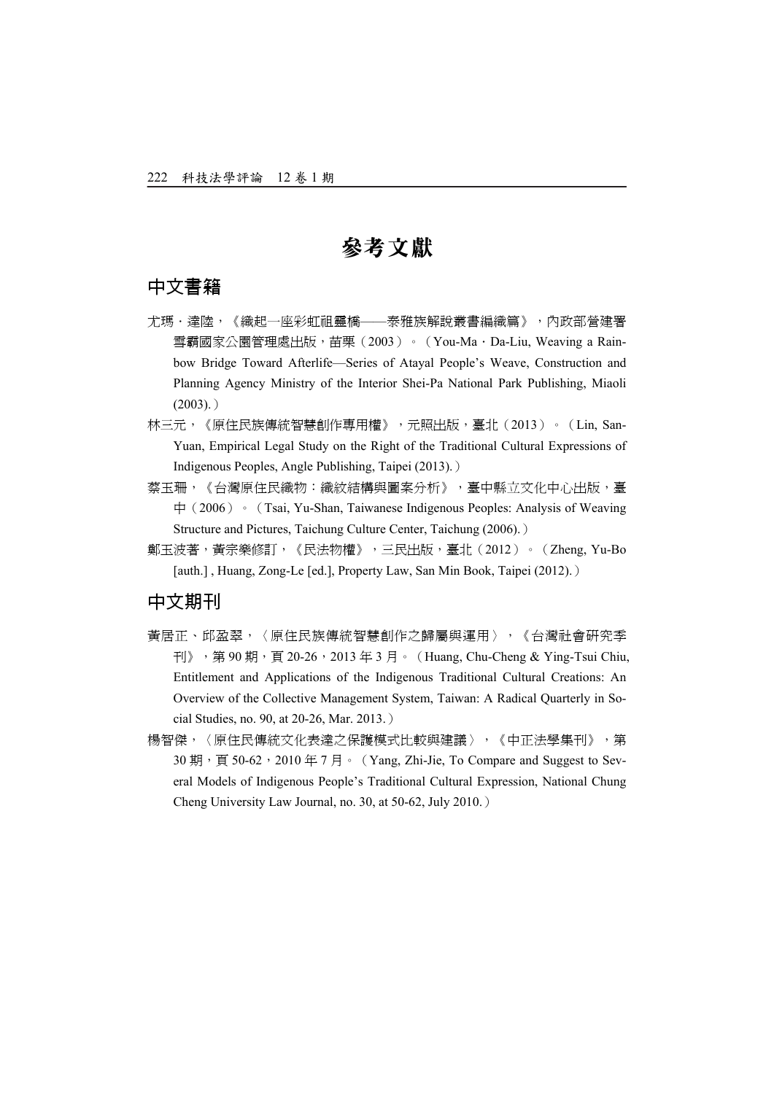## 參考文獻

#### 中文書籍

- 尤瑪·達陸,《織起一座彩虹祖靈橋——泰雅族解說叢書編織篇》,內政部營建署 雪霸國家公園管理處出版,苗栗(2003)。(You-Ma·Da-Liu, Weaving a Rainbow Bridge Toward Afterlife—Series of Atayal People's Weave, Construction and Planning Agency Ministry of the Interior Shei-Pa National Park Publishing, Miaoli  $(2003)$ .)
- 林三元,《原住民族傳統智慧創作專用權》,元照出版,臺北(2013)。(Lin, San-Yuan, Empirical Legal Study on the Right of the Traditional Cultural Expressions of Indigenous Peoples, Angle Publishing, Taipei (2013).)
- 蔡玉珊,《台灣原住民織物:織紋結構與圖案分析》,臺中縣立文化中心出版,臺 中(2006) · (Tsai, Yu-Shan, Taiwanese Indigenous Peoples: Analysis of Weaving Structure and Pictures, Taichung Culture Center, Taichung (2006).)
- 鄭玉波著,黃宗樂修訂,《民法物權》,三民出版,臺北(2012)。(Zheng, Yu-Bo [auth.], Huang, Zong-Le [ed.], Property Law, San Min Book, Taipei (2012).)

#### 中文期刊

- 黃居正、邱盈翠,〈原住民族傳統智慧創作之歸屬與運用〉,《台灣社會研究季 刊》, 第 90 期, 頁 20-26, 2013 年 3 月。 (Huang, Chu-Cheng & Ying-Tsui Chiu, Entitlement and Applications of the Indigenous Traditional Cultural Creations: An Overview of the Collective Management System, Taiwan: A Radical Quarterly in Social Studies, no. 90, at 20-26, Mar. 2013.)
- 楊智傑,〈原住民傳統文化表達之保護模式比較與建議〉,《中正法學集刊》,第 30 期, 頁 50-62, 2010 年 7 月。 (Yang, Zhi-Jie, To Compare and Suggest to Several Models of Indigenous People's Traditional Cultural Expression, National Chung Cheng University Law Journal, no. 30, at 50-62, July 2010.)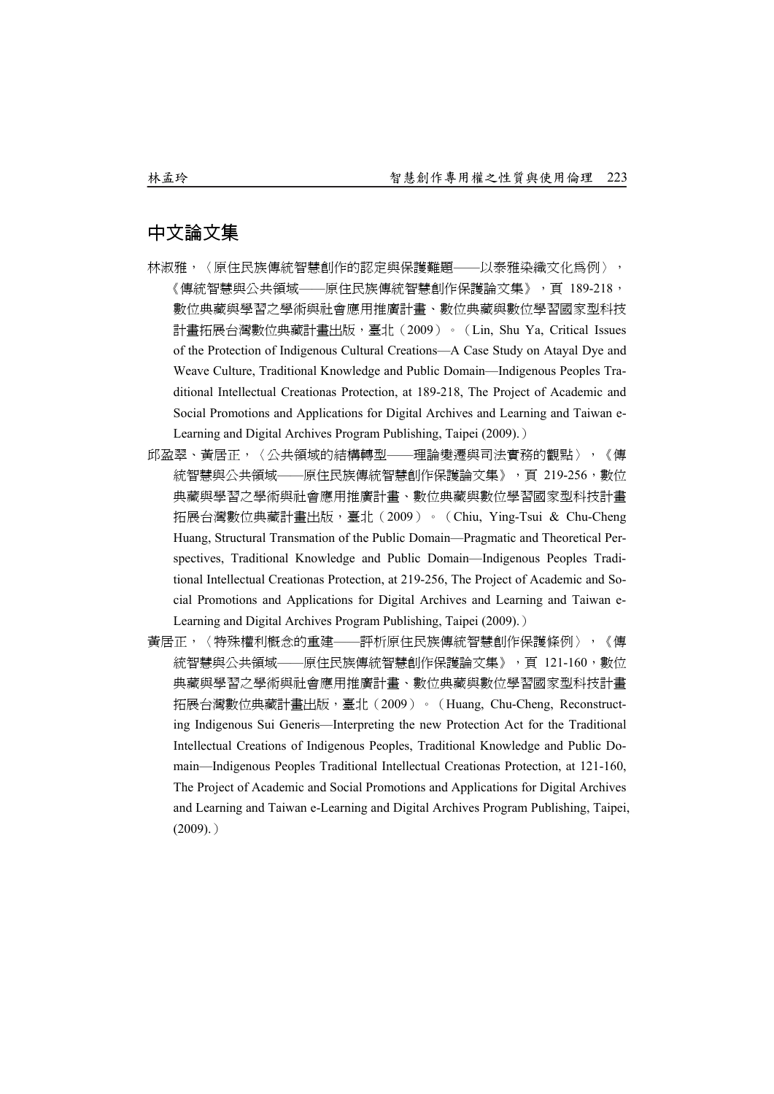#### 中文論文集

- 林淑雅,〈原住民族傳統智慧創作的認定與保護難題——以泰雅染織文化為例〉, 《傳統智慧與公共領域——原住民族傳統智慧創作保護論文集》,頁 189-218, 數位典藏與學習之學術與社會應用推廣計畫、數位典藏與數位學習國家型科技 計畫拓展台灣數位典藏計畫出版,臺北(2009)。(Lin, Shu Ya, Critical Issues of the Protection of Indigenous Cultural Creations—A Case Study on Atayal Dye and Weave Culture, Traditional Knowledge and Public Domain—Indigenous Peoples Traditional Intellectual Creationas Protection, at 189-218, The Project of Academic and Social Promotions and Applications for Digital Archives and Learning and Taiwan e-Learning and Digital Archives Program Publishing, Taipei (2009).)
- 邱盈翠、黃居正,〈公共領域的結構轉型——理論變遷與司法實務的觀點〉,《傳 統智慧與公共領域——原住民族傳統智慧創作保護論文集》,頁 219-256,數位 典藏與學習之學術與社會應用推廣計畫、數位典藏與數位學習國家型科技計畫 拓展台灣數位典藏計畫出版,臺北(2009)。(Chiu, Ying-Tsui & Chu-Cheng Huang, Structural Transmation of the Public Domain—Pragmatic and Theoretical Perspectives, Traditional Knowledge and Public Domain—Indigenous Peoples Traditional Intellectual Creationas Protection, at 219-256, The Project of Academic and Social Promotions and Applications for Digital Archives and Learning and Taiwan e-Learning and Digital Archives Program Publishing, Taipei (2009).)
- 黃居正,〈特殊權利概念的重建——評析原住民族傳統智慧創作保護條例〉,《傳 統智慧與公共領域——原住民族傳統智慧創作保護論文集》,頁 121-160,數位 典藏與學習之學術與社會應用推廣計畫、數位典藏與數位學習國家型科技計畫 拓展台灣數位典藏計畫出版,臺北(2009)。(Huang, Chu-Cheng, Reconstructing Indigenous Sui Generis—Interpreting the new Protection Act for the Traditional Intellectual Creations of Indigenous Peoples, Traditional Knowledge and Public Domain—Indigenous Peoples Traditional Intellectual Creationas Protection, at 121-160, The Project of Academic and Social Promotions and Applications for Digital Archives and Learning and Taiwan e-Learning and Digital Archives Program Publishing, Taipei,  $(2009)$ .)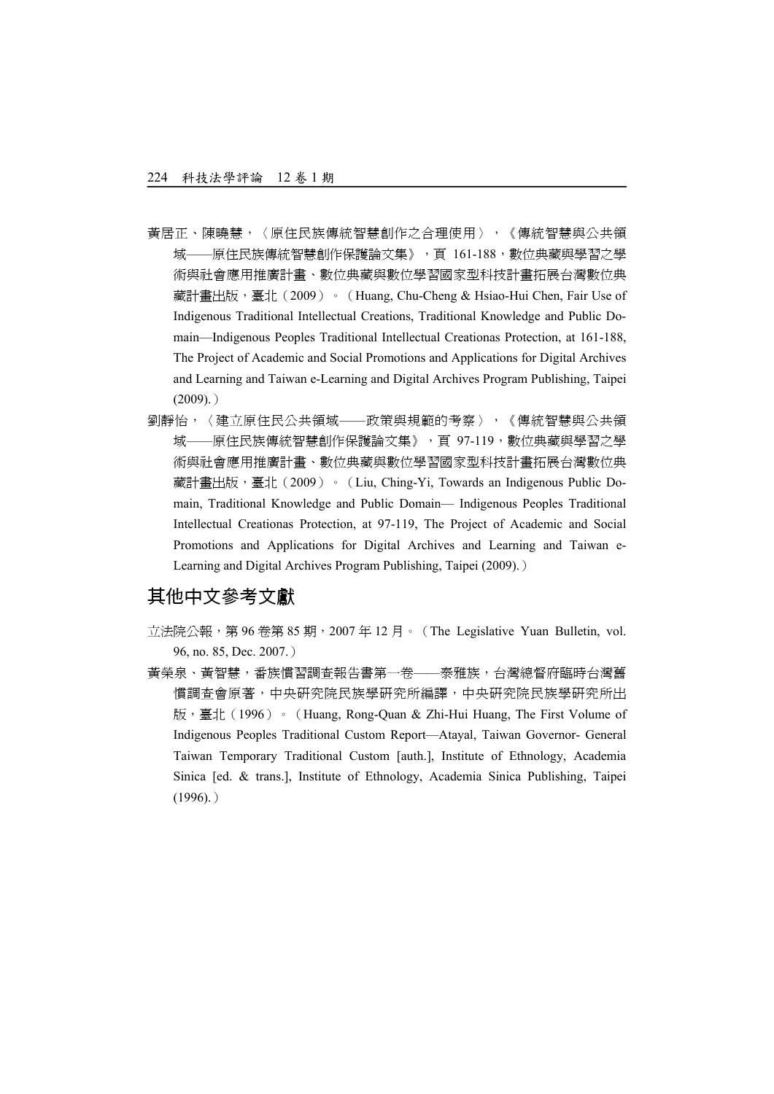- 黃居正、陳曉慧,〈原住民族傳統智慧創作之合理使用〉,《傳統智慧與公共領 域——原住民族傳統智慧創作保護論文集》,頁 161-188,數位典藏與學習之學 術與社會應用推廣計畫、數位典藏與數位學習國家型科技計畫拓展台灣數位典 藏計畫出版,臺北(2009)。 (Huang, Chu-Cheng & Hsiao-Hui Chen, Fair Use of Indigenous Traditional Intellectual Creations, Traditional Knowledge and Public Domain—Indigenous Peoples Traditional Intellectual Creationas Protection, at 161-188, The Project of Academic and Social Promotions and Applications for Digital Archives and Learning and Taiwan e-Learning and Digital Archives Program Publishing, Taipei  $(2009)$ .)
- 劉靜怡,〈建立原住民公共領域——政策與規範的考察〉,《傳統智慧與公共領 域——原住民族傳統智慧創作保護論文集》,頁 97-119,數位典藏與學習之學 術與社會應用推廣計畫、數位典藏與數位學習國家型科技計畫拓展台灣數位典 藏計畫出版,臺北(2009)。 (Liu, Ching-Yi, Towards an Indigenous Public Domain, Traditional Knowledge and Public Domain— Indigenous Peoples Traditional Intellectual Creationas Protection, at 97-119, The Project of Academic and Social Promotions and Applications for Digital Archives and Learning and Taiwan e-Learning and Digital Archives Program Publishing, Taipei (2009).)

### 其他中文參考文獻

- 立法院公報,第 96 卷第 85 期, 2007年 12 月。(The Legislative Yuan Bulletin, vol. 96, no. 85, Dec. 2007.)
- 黃榮泉、黃智慧,番族慣習調查報告書第一卷——泰雅族,台灣總督府臨時台灣舊 慣調查會原著,中央研究院民族學研究所編譯,中央研究院民族學研究所出 版,臺北(1996) 。 (Huang, Rong-Quan & Zhi-Hui Huang, The First Volume of Indigenous Peoples Traditional Custom Report—Atayal, Taiwan Governor- General Taiwan Temporary Traditional Custom [auth.], Institute of Ethnology, Academia Sinica [ed. & trans.], Institute of Ethnology, Academia Sinica Publishing, Taipei  $(1996)$ .)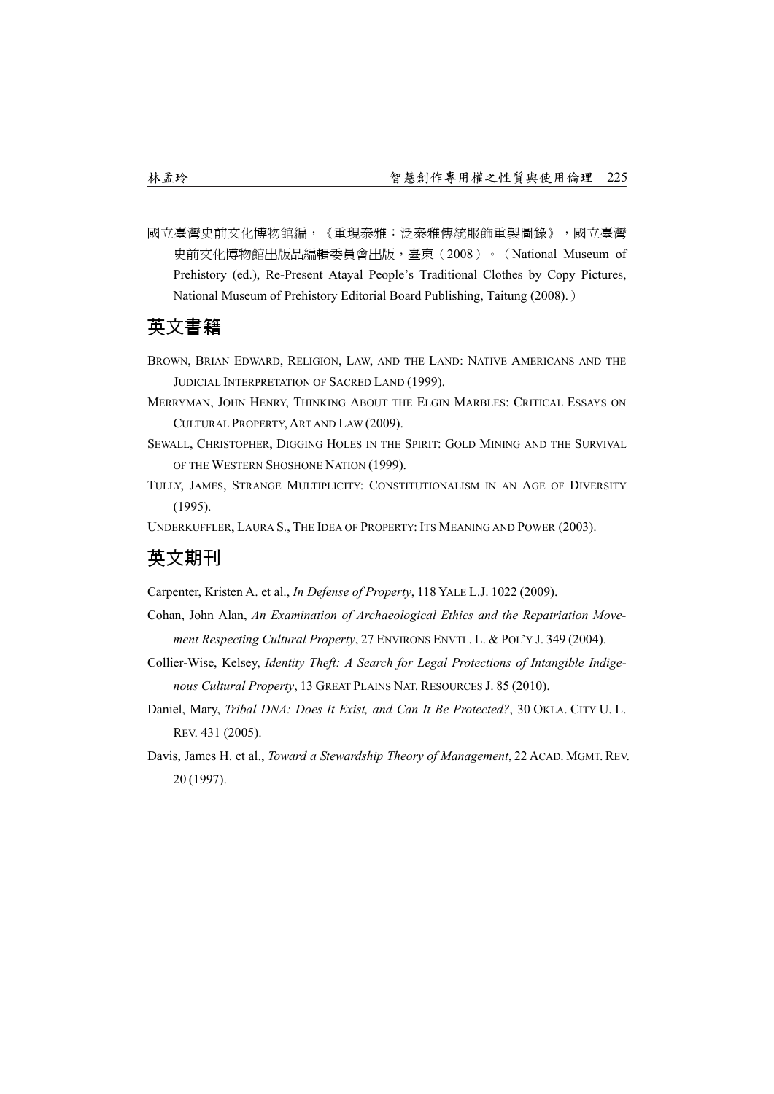國立臺灣史前文化博物館編,《重現泰雅:泛泰雅傳統服飾重製圖錄》,國立臺灣 史前文化博物館出版品編輯委員會出版,臺東(2008)。(National Museum of Prehistory (ed.), Re-Present Atayal People's Traditional Clothes by Copy Pictures, National Museum of Prehistory Editorial Board Publishing, Taitung (2008).)

#### 英文書籍

- BROWN, BRIAN EDWARD, RELIGION, LAW, AND THE LAND: NATIVE AMERICANS AND THE JUDICIAL INTERPRETATION OF SACRED LAND (1999).
- MERRYMAN, JOHN HENRY, THINKING ABOUT THE ELGIN MARBLES: CRITICAL ESSAYS ON CULTURAL PROPERTY, ART AND LAW (2009).
- SEWALL, CHRISTOPHER, DIGGING HOLES IN THE SPIRIT: GOLD MINING AND THE SURVIVAL OF THE WESTERN SHOSHONE NATION (1999).
- TULLY, JAMES, STRANGE MULTIPLICITY: CONSTITUTIONALISM IN AN AGE OF DIVERSITY (1995).
- UNDERKUFFLER, LAURA S., THE IDEA OF PROPERTY: ITS MEANING AND POWER (2003).

#### 英文期刊

- Carpenter, Kristen A. et al., *In Defense of Property*, 118 YALE L.J. 1022 (2009).
- Cohan, John Alan, *An Examination of Archaeological Ethics and the Repatriation Movement Respecting Cultural Property*, 27 ENVIRONS ENVTL. L. & POL'Y J. 349 (2004).
- Collier-Wise, Kelsey, *Identity Theft: A Search for Legal Protections of Intangible Indigenous Cultural Property*, 13 GREAT PLAINS NAT. RESOURCES J. 85 (2010).
- Daniel, Mary, *Tribal DNA: Does It Exist, and Can It Be Protected?*, 30 OKLA. CITY U. L. REV. 431 (2005).
- Davis, James H. et al., *Toward a Stewardship Theory of Management*, 22 ACAD. MGMT. REV. 20 (1997).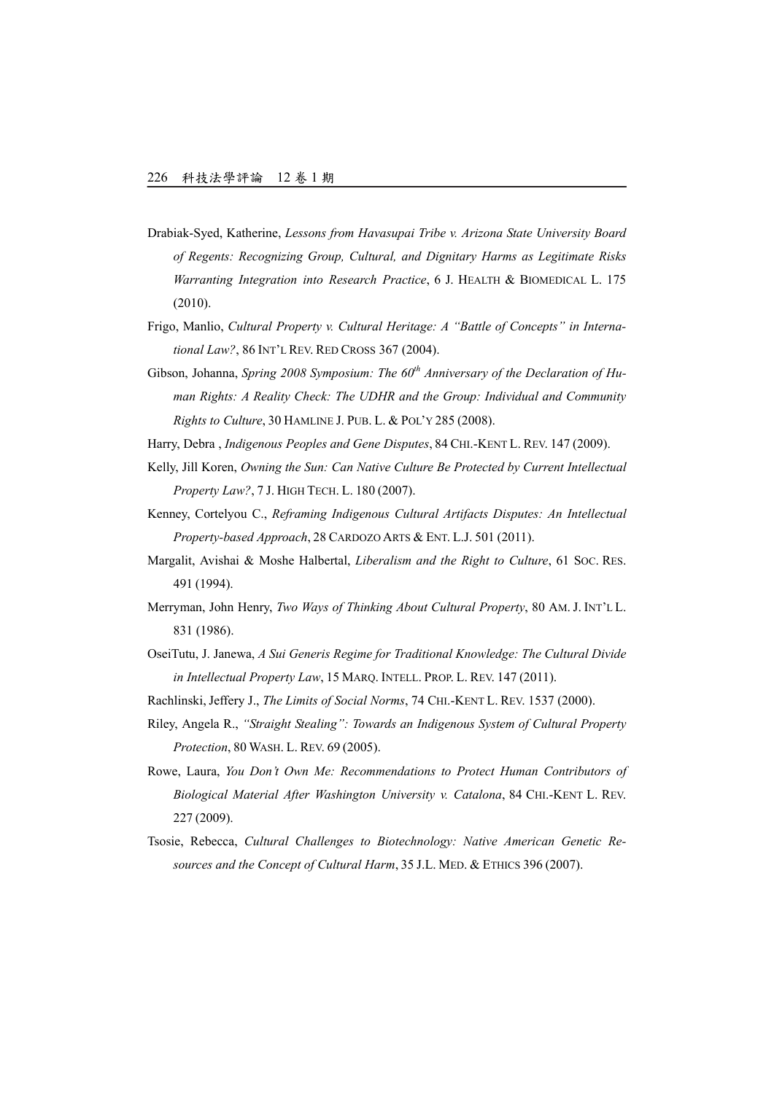- Drabiak-Syed, Katherine, *Lessons from Havasupai Tribe v. Arizona State University Board of Regents: Recognizing Group, Cultural, and Dignitary Harms as Legitimate Risks Warranting Integration into Research Practice*, 6 J. HEALTH & BIOMEDICAL L. 175 (2010).
- Frigo, Manlio, *Cultural Property v. Cultural Heritage: A "Battle of Concepts" in International Law?*, 86 INT'L REV. RED CROSS 367 (2004).
- Gibson, Johanna, *Spring 2008 Symposium: The 60th Anniversary of the Declaration of Human Rights: A Reality Check: The UDHR and the Group: Individual and Community Rights to Culture*, 30 HAMLINE J. PUB. L. & POL'Y 285 (2008).
- Harry, Debra , *Indigenous Peoples and Gene Disputes*, 84 CHI.-KENT L. REV. 147 (2009).
- Kelly, Jill Koren, *Owning the Sun: Can Native Culture Be Protected by Current Intellectual Property Law?*, 7 J. HIGH TECH. L. 180 (2007).
- Kenney, Cortelyou C., *Reframing Indigenous Cultural Artifacts Disputes: An Intellectual Property-based Approach*, 28 CARDOZO ARTS & ENT. L.J. 501 (2011).
- Margalit, Avishai & Moshe Halbertal, *Liberalism and the Right to Culture*, 61 SOC. RES. 491 (1994).
- Merryman, John Henry, *Two Ways of Thinking About Cultural Property*, 80 AM. J. INT'L L. 831 (1986).
- OseiTutu, J. Janewa, *A Sui Generis Regime for Traditional Knowledge: The Cultural Divide in Intellectual Property Law*, 15 MARQ. INTELL. PROP. L. REV. 147 (2011).
- Rachlinski, Jeffery J., *The Limits of Social Norms*, 74 CHI.-KENT L. REV. 1537 (2000).
- Riley, Angela R., *"Straight Stealing": Towards an Indigenous System of Cultural Property Protection*, 80 WASH. L. REV. 69 (2005).
- Rowe, Laura, *You Don't Own Me: Recommendations to Protect Human Contributors of Biological Material After Washington University v. Catalona*, 84 CHI.-KENT L. REV. 227 (2009).
- Tsosie, Rebecca, *Cultural Challenges to Biotechnology: Native American Genetic Resources and the Concept of Cultural Harm*, 35 J.L. MED. & ETHICS 396 (2007).